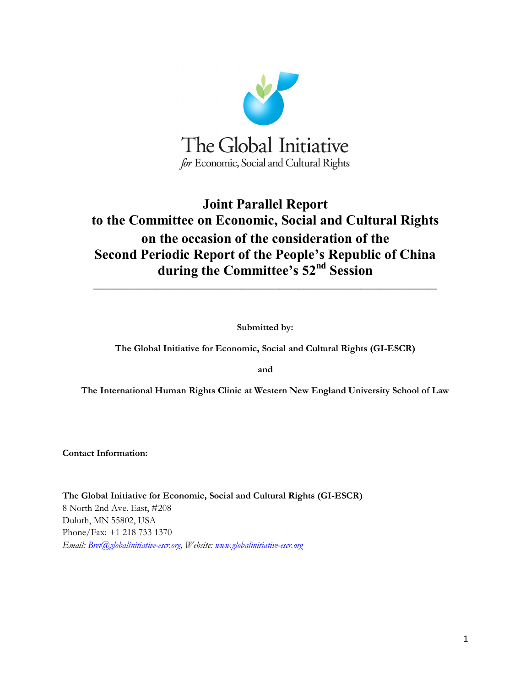

# **Joint Parallel Report to the Committee on Economic, Social and Cultural Rights on the occasion of the consideration of the Second Periodic Report of the People's Republic of China during the Committee's 52nd Session**

**Submitted by:** 

**\_\_\_\_\_\_\_\_\_\_\_\_\_\_\_\_\_\_\_\_\_\_\_\_\_\_\_\_\_\_\_\_\_\_\_\_\_\_\_\_\_\_\_\_\_\_\_\_\_\_\_\_\_\_\_\_\_\_\_\_\_\_\_\_\_\_\_\_\_\_\_\_**

**The Global Initiative for Economic, Social and Cultural Rights (GI-ESCR)** 

**and** 

**The International Human Rights Clinic at Western New England University School of Law**

**Contact Information:**

**The Global Initiative for Economic, Social and Cultural Rights (GI-ESCR)** 8 North 2nd Ave. East, #208 Duluth, MN 55802, USA Phone/Fax: +1 218 733 1370 *Email: Bret@globalinitiative-escr.org, Website: [www.globalinitiative-escr.org](http://www.globalinitiative-escr.org/)*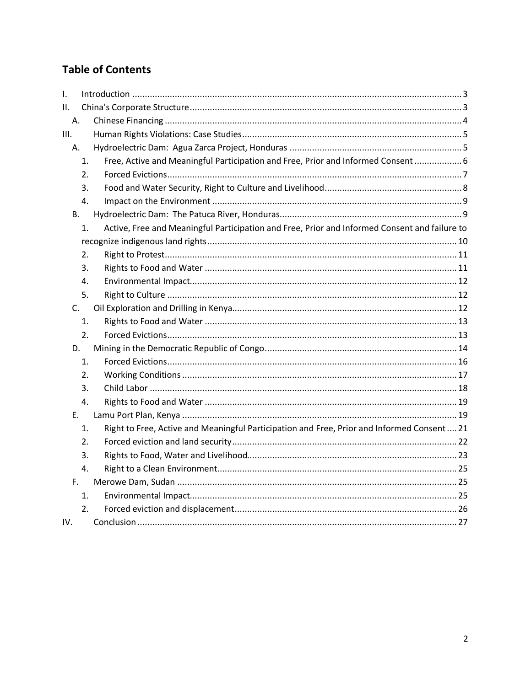## **Table of Contents**

| I.   |    |                                                                                               |
|------|----|-----------------------------------------------------------------------------------------------|
| ΙΙ.  |    |                                                                                               |
| Α.   |    |                                                                                               |
| III. |    |                                                                                               |
| Α.   |    |                                                                                               |
|      | 1. | Free, Active and Meaningful Participation and Free, Prior and Informed Consent 6              |
|      | 2. |                                                                                               |
|      | 3. |                                                                                               |
|      | 4. |                                                                                               |
| В.   |    |                                                                                               |
|      | 1. | Active, Free and Meaningful Participation and Free, Prior and Informed Consent and failure to |
|      |    |                                                                                               |
|      | 2. |                                                                                               |
|      | 3. |                                                                                               |
|      | 4. |                                                                                               |
|      | 5. |                                                                                               |
| C.   |    |                                                                                               |
|      | 1. |                                                                                               |
|      | 2. |                                                                                               |
| D.   |    |                                                                                               |
|      | 1. |                                                                                               |
|      | 2. |                                                                                               |
|      | 3. |                                                                                               |
|      | 4. |                                                                                               |
| Ε.   |    |                                                                                               |
|      | 1. | Right to Free, Active and Meaningful Participation and Free, Prior and Informed Consent 21    |
|      | 2. |                                                                                               |
|      | 3. |                                                                                               |
|      | 4. |                                                                                               |
| F.   |    |                                                                                               |
|      | 1. |                                                                                               |
|      | 2. |                                                                                               |
| IV.  |    |                                                                                               |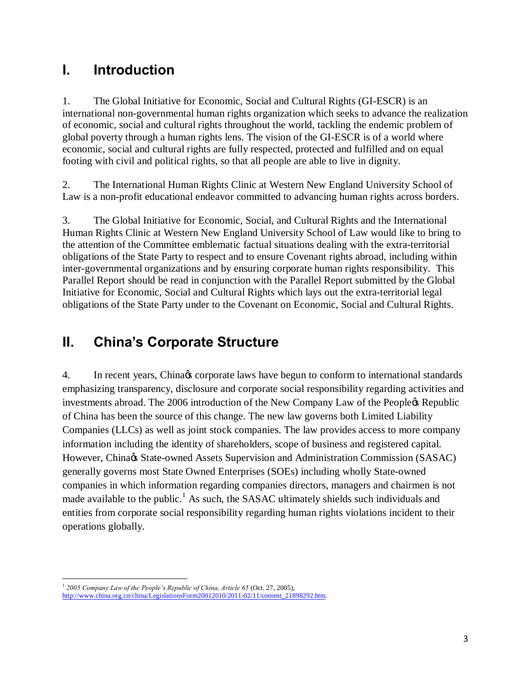# **I. Introduction**

1. The Global Initiative for Economic, Social and Cultural Rights (GI-ESCR) is an international non-governmental human rights organization which seeks to advance the realization of economic, social and cultural rights throughout the world, tackling the endemic problem of global poverty through a human rights lens. The vision of the GI-ESCR is of a world where economic, social and cultural rights are fully respected, protected and fulfilled and on equal footing with civil and political rights, so that all people are able to live in dignity.

2. The International Human Rights Clinic at Western New England University School of Law is a non-profit educational endeavor committed to advancing human rights across borders.

3. The Global Initiative for Economic, Social, and Cultural Rights and the International Human Rights Clinic at Western New England University School of Law would like to bring to the attention of the Committee emblematic factual situations dealing with the extra-territorial obligations of the State Party to respect and to ensure Covenant rights abroad, including within inter-governmental organizations and by ensuring corporate human rights responsibility. This Parallel Report should be read in conjunction with the Parallel Report submitted by the Global Initiative for Economic, Social and Cultural Rights which lays out the extra-territorial legal obligations of the State Party under to the Covenant on Economic, Social and Cultural Rights.

# **II. China's Corporate Structure**

4. In recent years, China *is* corporate laws have begun to conform to international standards emphasizing transparency, disclosure and corporate social responsibility regarding activities and investments abroad. The 2006 introduction of the New Company Law of the Peopleos Republic of China has been the source of this change. The new law governs both Limited Liability Companies (LLCs) as well as joint stock companies. The law provides access to more company information including the identity of shareholders, scope of business and registered capital. However, China $\alpha$  State-owned Assets Supervision and Administration Commission (SASAC) generally governs most State Owned Enterprises (SOEs) including wholly State-owned companies in which information regarding companies directors, managers and chairmen is not made available to the public.<sup>1</sup> As such, the SASAC ultimately shields such individuals and entities from corporate social responsibility regarding human rights violations incident to their operations globally.

<sup>1</sup> *2005 Company Law of the People's Republic of China, Article 65* (Oct. 27, 2005),

http://www.china.org.cn/china/LegislationsForm20012010/2011-02/11/content\_21898292.htm.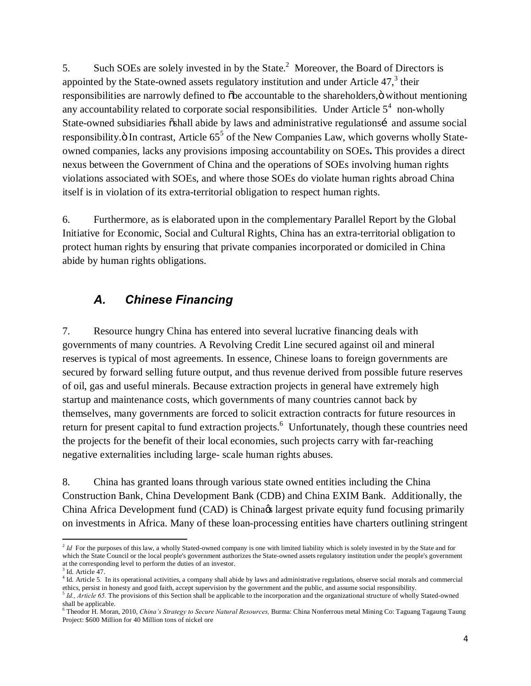5. Such SOEs are solely invested in by the State. $^2$  Moreover, the Board of Directors is appointed by the State-owned assets regulatory institution and under Article  $47<sup>3</sup>$ , their responsibilities are narrowly defined to  $\delta$ be accountable to the shareholders, $\ddot{o}$  without mentioning any accountability related to corporate social responsibilities. Under Article  $5^4$  non-wholly State-owned subsidiaries  $\ddot{\text{o}}$ shall abide by laws and administrative regulationsí and assume social responsibility.ö In contrast, Article 65<sup>5</sup> of the New Companies Law, which governs wholly Stateowned companies, lacks any provisions imposing accountability on SOEs**.** This provides a direct nexus between the Government of China and the operations of SOEs involving human rights violations associated with SOEs, and where those SOEs do violate human rights abroad China itself is in violation of its extra-territorial obligation to respect human rights.

6. Furthermore, as is elaborated upon in the complementary Parallel Report by the Global Initiative for Economic, Social and Cultural Rights, China has an extra-territorial obligation to protect human rights by ensuring that private companies incorporated or domiciled in China abide by human rights obligations.

### *A. Chinese Financing*

7. Resource hungry China has entered into several lucrative financing deals with governments of many countries. A Revolving Credit Line secured against oil and mineral reserves is typical of most agreements. In essence, Chinese loans to foreign governments are secured by forward selling future output, and thus revenue derived from possible future reserves of oil, gas and useful minerals. Because extraction projects in general have extremely high startup and maintenance costs, which governments of many countries cannot back by themselves, many governments are forced to solicit extraction contracts for future resources in return for present capital to fund extraction projects.<sup>6</sup> Unfortunately, though these countries need the projects for the benefit of their local economies, such projects carry with far-reaching negative externalities including large- scale human rights abuses.

8. China has granted loans through various state owned entities including the China Construction Bank, China Development Bank (CDB) and China EXIM Bank. Additionally, the China Africa Development fund (CAD) is China $\alpha$  largest private equity fund focusing primarily on investments in Africa. Many of these loan-processing entities have charters outlining stringent

 $<sup>2</sup>$  *Id* For the purposes of this law, a wholly Stated-owned company is one with limited liability which is solely invested in by the State and for</sup> which the State Council or the local people's government authorizes the State-owned assets regulatory institution under the people's government at the corresponding level to perform the duties of an investor.  $3$  Id. Article 47.

<sup>&</sup>lt;sup>4</sup> Id. Article 5. In its operational activities, a company shall abide by laws and administrative regulations, observe social morals and commercial ethics, persist in honesty and good faith, accept supervision by the government and the public, and assume social responsibility.

<sup>5</sup> *Id., Article 65.* The provisions of this Section shall be applicable to the incorporation and the organizational structure of wholly Stated-owned shall be applicable.

<sup>6</sup> Theodor H. Moran, 2010, *China's Strategy to Secure Natural Resources,* Burma: China Nonferrous metal Mining Co: Taguang Tagaung Taung Project: \$600 Million for 40 Million tons of nickel ore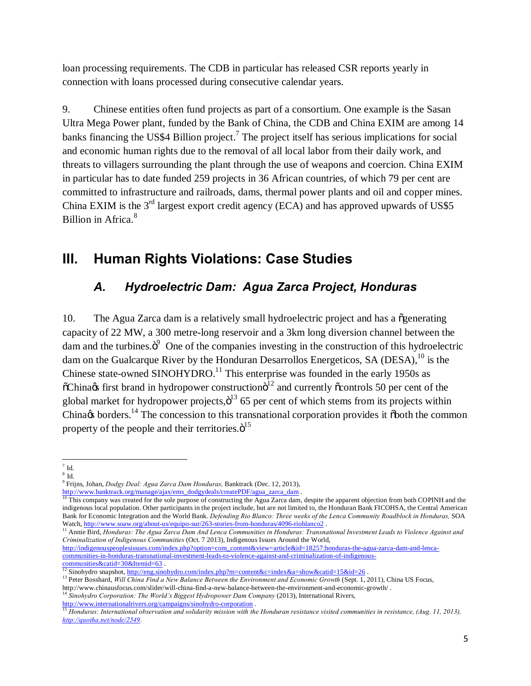loan processing requirements. The CDB in particular has released CSR reports yearly in connection with loans processed during consecutive calendar years.

9. Chinese entities often fund projects as part of a consortium. One example is the Sasan Ultra Mega Power plant, funded by the Bank of China, the CDB and China EXIM are among 14 banks financing the US\$4 Billion project.<sup>7</sup> The project itself has serious implications for social and economic human rights due to the removal of all local labor from their daily work, and threats to villagers surrounding the plant through the use of weapons and coercion. China EXIM in particular has to date funded 259 projects in 36 African countries, of which 79 per cent are committed to infrastructure and railroads, dams, thermal power plants and oil and copper mines. China EXIM is the  $3<sup>rd</sup>$  largest export credit agency (ECA) and has approved upwards of US\$5 Billion in Africa.<sup>8</sup>

# **III. Human Rights Violations: Case Studies**

## *A. Hydroelectric Dam: Agua Zarca Project, Honduras*

10. The Agua Zarca dam is a relatively small hydroelectric project and has a  $\tilde{o}$  generating capacity of 22 MW, a 300 metre-long reservoir and a 3km long diversion channel between the dam and the turbines. $\ddot{\mathrm{o}}^9$  One of the companies investing in the construction of this hydroelectric dam on the Gualcarque River by the Honduran Desarrollos Energeticos, SA (DESA),<sup>10</sup> is the Chinese state-owned SINOHYDRO.<sup>11</sup> This enterprise was founded in the early 1950s as  $\tilde{\text{o}}$ China $\alpha$ s first brand in hydropower construction $\tilde{\text{o}}^{12}$  and currently  $\tilde{\text{o}}$ controls 50 per cent of the global market for hydropower projects, $\ddot{o}^{13}$  65 per cent of which stems from its projects within China $\alpha$  borders.<sup>14</sup> The concession to this transnational corporation provides it õboth the common property of the people and their territories. $\ddot{\text{o}}^{15}$ 

<sup>11</sup> Annie Bird, Honduras: The Agua Zarca Dam And Lenca Communities in Honduras: Transnational Investment Leads to Violence Against and *Criminalization of Indigenous Communities* (Oct. 7 2013), Indigenous Issues Around the World,

http://indigenouspeoplesissues.com/index.php?option=com\_content&view=article&id=18257:honduras-the-agua-zarca-dam-and-lencacommunities-in-honduras-transnational-investment-leads-to-violence-against-and-criminalization-of-indigenouscommunities&catid=30&Itemid=63 .<br>
<sup>12</sup> Sinohydro snapshot, <u>http://eng.sinohydro.com/index.php?m=content&c=index&a=show&catid=15&id=26</u>

 $7$  Id.

 $^8$  Id.  $\,$ 

<sup>9</sup> Frijns, Johan, *Dodgy Deal: Agua Zarca Dam Honduras,* Banktrack (Dec. 12, 2013),

http://www.banktrack.org/manage/ajax/ems\_dodgydeals/createPDF/agua\_zarca\_dam .<br><sup>10</sup> This company was created for the sole purpose of constructing the Agua Zarca dam, despite the apparent objection from both COPINH and the indigenous local population. Other participants in the project include, but are not limited to, the Honduran Bank FICOHSA, the Central American Bank for Economic Integration and the World Bank. *Defending Rio Blanco: Three weeks of the Lenca Community Roadblock in Honduras*, SOA Watch, http://www.soaw.org/about-us/equipo-sur/263-stories-from-honduras/4096-rioblanc

<sup>&</sup>lt;sup>13</sup> Peter Bosshard, *Will China Find a New Balance Between the Environment and Economic Growth* (Sept. 1, 2011), China US Focus,

http://www.chinausfocus.com/slider/will-china-find-a-new-balance-between-the-environment-and-economic-growth/ . <sup>14</sup> *Sinohydro Corporation: The World's Biggest Hydropower Dam Company* (2013), International Rivers,

http://www.internationalrivers.org/campaigns/sinohydro-corporation .<br><sup>15</sup> Honduras: International observation and solidarity mission with the Honduran resistance visited communities in resistance, (Aug. 11, 2013), *http://quotha.net/node/2549.*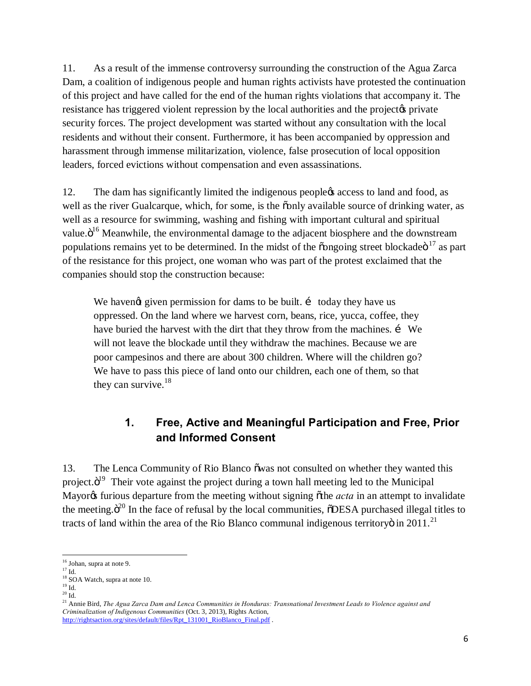11. As a result of the immense controversy surrounding the construction of the Agua Zarca Dam, a coalition of indigenous people and human rights activists have protested the continuation of this project and have called for the end of the human rights violations that accompany it. The resistance has triggered violent repression by the local authorities and the project private security forces. The project development was started without any consultation with the local residents and without their consent. Furthermore, it has been accompanied by oppression and harassment through immense militarization, violence, false prosecution of local opposition leaders, forced evictions without compensation and even assassinations.

12. The dam has significantly limited the indigenous people $\alpha$  access to land and food, as well as the river Gualcarque, which, for some, is the  $\ddot{\text{o}}$  only available source of drinking water, as well as a resource for swimming, washing and fishing with important cultural and spiritual value. $\ddot{o}^{16}$  Meanwhile, the environmental damage to the adjacent biosphere and the downstream populations remains yet to be determined. In the midst of the  $\tilde{0}$  ongoing street blockade $\tilde{0}^{17}$  as part of the resistance for this project, one woman who was part of the protest exclaimed that the companies should stop the construction because:

We havengt given permission for dams to be built.  $\mathbf{i}$  today they have us oppressed. On the land where we harvest corn, beans, rice, yucca, coffee, they have buried the harvest with the dirt that they throw from the machines. *i* We will not leave the blockade until they withdraw the machines. Because we are poor campesinos and there are about 300 children. Where will the children go? We have to pass this piece of land onto our children, each one of them, so that they can survive. $18$ 

### **1. Free, Active and Meaningful Participation and Free, Prior and Informed Consent**

13. The Lenca Community of Rio Blanco  $\tilde{\text{o}}$  was not consulted on whether they wanted this project. $\ddot{o}^{19}$  Their vote against the project during a town hall meeting led to the Municipal Mayor<sub>of</sub> furious departure from the meeting without signing othe *acta* in an attempt to invalidate the meeting. $\ddot{o}^{20}$  In the face of refusal by the local communities,  $\ddot{o}$ DESA purchased illegal titles to tracts of land within the area of the Rio Blanco communal indigenous territory $\ddot{\rm o}$  in 2011.<sup>21</sup>

<sup>&</sup>lt;sup>16</sup> Johan, supra at note 9.

 $^{17}$  Id.

 $^{18}_{19}$  SOA Watch, supra at note 10.<br> $^{19}_{19}$  Id.

 $\rm ^{20}$  Id.

<sup>&</sup>lt;sup>21</sup> Annie Bird, *The Agua Zarca Dam and Lenca Communities in Honduras: Transnational Investment Leads to Violence against and Criminalization of Indigenous Communities* (Oct. 3, 2013), Rights Action, http://rightsaction.org/sites/default/files/Rpt\_131001\_RioBlanco\_Final.pdf .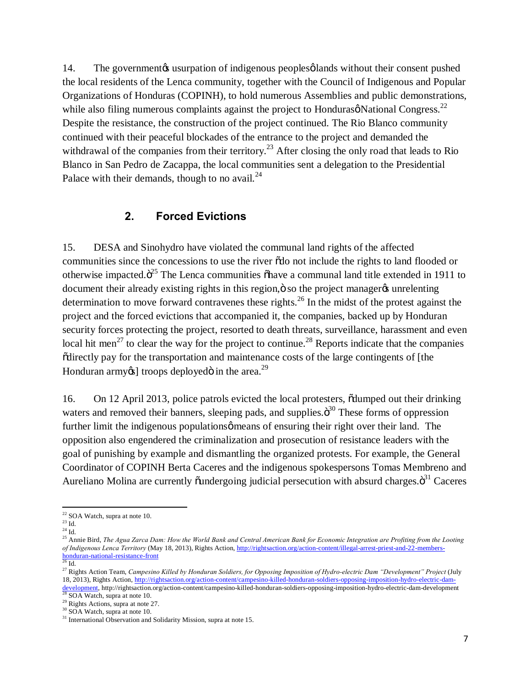14. The government is usurpation of indigenous peoples of lands without their consent pushed the local residents of the Lenca community, together with the Council of Indigenous and Popular Organizations of Honduras (COPINH), to hold numerous Assemblies and public demonstrations, while also filing numerous complaints against the project to Honduras $\phi$  National Congress.<sup>22</sup> Despite the resistance, the construction of the project continued. The Rio Blanco community continued with their peaceful blockades of the entrance to the project and demanded the withdrawal of the companies from their territory.<sup>23</sup> After closing the only road that leads to Rio Blanco in San Pedro de Zacappa, the local communities sent a delegation to the Presidential Palace with their demands, though to no avail. $^{24}$ 

#### **2. Forced Evictions**

15. DESA and Sinohydro have violated the communal land rights of the affected communities since the concessions to use the river  $\ddot{\text{o}}$  do not include the rights to land flooded or otherwise impacted. $\ddot{o}^{25}$  The Lenca communities  $\ddot{o}$  have a communal land title extended in 1911 to document their already existing rights in this region,  $\ddot{o}$  so the project manager  $\alpha$  unrelenting determination to move forward contravenes these rights.<sup>26</sup> In the midst of the protest against the project and the forced evictions that accompanied it, the companies, backed up by Honduran security forces protecting the project, resorted to death threats, surveillance, harassment and even local hit men<sup>27</sup> to clear the way for the project to continue.<sup>28</sup> Reports indicate that the companies "directly pay for the transportation and maintenance costs of the large contingents of [the Honduran army $\infty$ ] troops deployed in the area.<sup>29</sup>

16. On 12 April 2013, police patrols evicted the local protesters,  $\tilde{\text{odumped out their drinking}}$ waters and removed their banners, sleeping pads, and supplies. $\ddot{\sigma}^{30}$  These forms of oppression further limit the indigenous populations  $\varphi$  means of ensuring their right over their land. The opposition also engendered the criminalization and prosecution of resistance leaders with the goal of punishing by example and dismantling the organized protests. For example, the General Coordinator of COPINH Berta Caceres and the indigenous spokespersons Tomas Membreno and Aureliano Molina are currently õundergoing judicial persecution with absurd charges. $\ddot{\text{o}}^{31}$  Caceres

 $^{22}$  SOA Watch, supra at note 10.<br> $^{23}$  Id.

 $24$  Id.

<sup>&</sup>lt;sup>25</sup> Annie Bird, *The Agua Zarca Dam: How the World Bank and Central American Bank for Economic Integration are Profiting from the Looting of Indigenous Lenca Territory* (May 18, 2013), Rights Action, http://rightsaction.org/action-content/illegal-arrest-priest-and-22-membershonduran-national-resistance-front<br>
<sup>26</sup> Id.

<sup>27</sup> Rights Action Team, *Campesino Killed by Honduran Soldiers, for Opposing Imposition of Hydro-electric Dam "Development" Project* (July 18, 2013), Rights Action, http://rightsaction.org/action-content/campesino-killed-honduran-soldiers-opposing-imposition-hydro-electric-dam- $\frac{\text{development}}{28}$  SOA Watch, supra at note 10.<br><sup>28</sup> SOA Watch, supra at note 10.

 $\frac{29}{30}$  Rights Actions, supra at note 27.  $\frac{30}{30}$  SOA Watch, supra at note 10.

<sup>&</sup>lt;sup>31</sup> International Observation and Solidarity Mission, supra at note 15.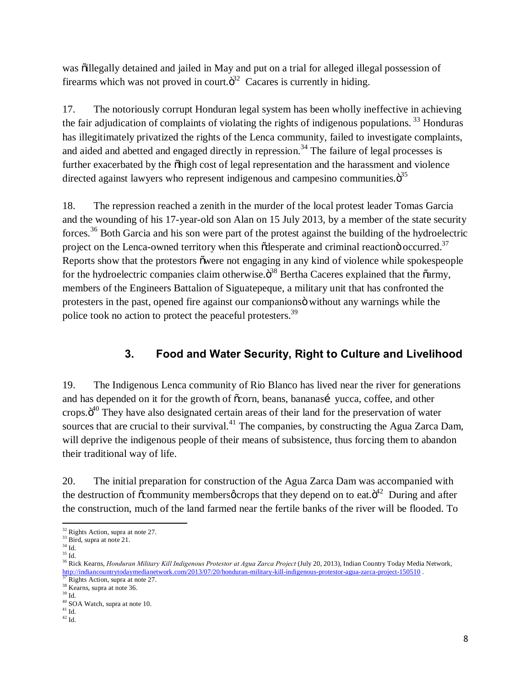was õillegally detained and jailed in May and put on a trial for alleged illegal possession of firearms which was not proved in court. $\ddot{\sigma}^2$  Cacares is currently in hiding.

17. The notoriously corrupt Honduran legal system has been wholly ineffective in achieving the fair adjudication of complaints of violating the rights of indigenous populations.  $33$  Honduras has illegitimately privatized the rights of the Lenca community, failed to investigate complaints, and aided and abetted and engaged directly in repression.<sup>34</sup> The failure of legal processes is further exacerbated by the  $\ddot{\text{o}}$ high cost of legal representation and the harassment and violence directed against lawyers who represent indigenous and campesino communities. $\ddot{\mathrm{o}}^{35}$ 

18. The repression reached a zenith in the murder of the local protest leader Tomas Garcia and the wounding of his 17-year-old son Alan on 15 July 2013, by a member of the state security forces.<sup>36</sup> Both Garcia and his son were part of the protest against the building of the hydroelectric project on the Lenca-owned territory when this  $\tilde{\text{c}}$ desperate and criminal reaction $\ddot{\text{o}}$  occurred.<sup>37</sup> Reports show that the protestors owere not engaging in any kind of violence while spokespeople for the hydroelectric companies claim otherwise. $\ddot{\sigma}^{38}$  Bertha Caceres explained that the  $\ddot{\text{o}}$ army, members of the Engineers Battalion of Siguatepeque, a military unit that has confronted the protesters in the past, opened fire against our companions o without any warnings while the police took no action to protect the peaceful protesters.39

### **3. Food and Water Security, Right to Culture and Livelihood**

19. The Indigenous Lenca community of Rio Blanco has lived near the river for generations and has depended on it for the growth of  $\tilde{\text{c}}$  corn, beans, bananasí yucca, coffee, and other crops. $\ddot{o}^{40}$  They have also designated certain areas of their land for the preservation of water sources that are crucial to their survival.<sup>41</sup> The companies, by constructing the Agua Zarca Dam, will deprive the indigenous people of their means of subsistence, thus forcing them to abandon their traditional way of life.

20. The initial preparation for construction of the Agua Zarca Dam was accompanied with the destruction of  $\tilde{\text{c}}$  community members  $\varphi$  crops that they depend on to eat. $\ddot{\text{o}}^{42}$  During and after the construction, much of the land farmed near the fertile banks of the river will be flooded. To

 $32$  Rights Action, supra at note 27.<br> $33$  Bird, supra at note 21.

 $^{34}$  Id.

 $35$  Id.

<sup>&</sup>lt;sup>36</sup> Rick Kearns, *Honduran Military Kill Indigenous Protestor at Agua Zarca Project* (July 20, 2013), Indian Country Today Media Network, http://indiancountrytodaymedianetwork.com/2013/07/20/honduran-military-kill-indigenous-protestor-agua-zarca-project-150510 .<br><sup>37</sup> Rights Action, supra at note 27. 38 Kearns, supra at note 36.

<sup>39</sup> Id.

 $^{40}_{41}$  SOA Watch, supra at note 10.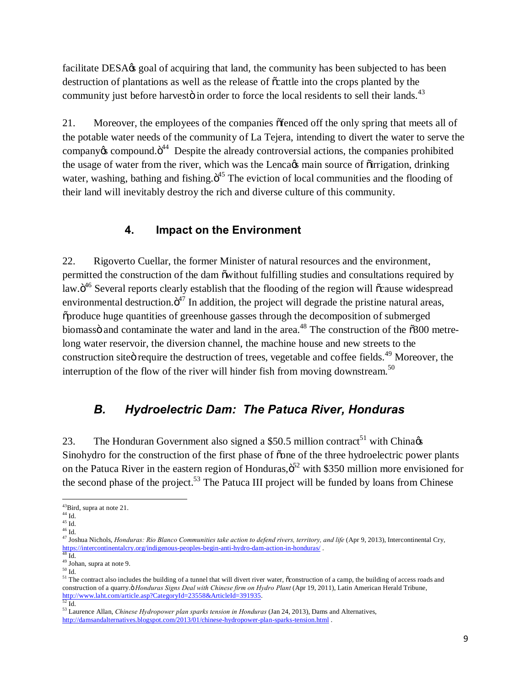facilitate DESA $\alpha$  goal of acquiring that land, the community has been subjected to has been destruction of plantations as well as the release of  $\tilde{\alpha}$  cattle into the crops planted by the community just before harvestö in order to force the local residents to sell their lands.<sup>43</sup>

21. Moreover, the employees of the companies  $\delta$  fenced off the only spring that meets all of the potable water needs of the community of La Tejera, intending to divert the water to serve the company $\alpha$  compound. $\ddot{\mathrm{o}}^{44}$  Despite the already controversial actions, the companies prohibited the usage of water from the river, which was the Lenca $\alpha$  main source of õirrigation, drinking water, washing, bathing and fishing. $\ddot{o}^{45}$  The eviction of local communities and the flooding of their land will inevitably destroy the rich and diverse culture of this community.

#### **4. Impact on the Environment**

22. Rigoverto Cuellar, the former Minister of natural resources and the environment, permitted the construction of the dam  $\ddot{\text{o}}$  owithout fulfilling studies and consultations required by law. $\ddot{\mathrm{o}}^{46}$  Several reports clearly establish that the flooding of the region will  $\ddot{\mathrm{o}}$ cause widespread environmental destruction. $\ddot{o}^{47}$  In addition, the project will degrade the pristine natural areas, "produce huge quantities of greenhouse gasses through the decomposition of submerged biomassö and contaminate the water and land in the area.<sup>48</sup> The construction of the  $\ddot{\text{o}}300$  metrelong water reservoir, the diversion channel, the machine house and new streets to the construction site irequire the destruction of trees, vegetable and coffee fields.<sup>49</sup> Moreover, the interruption of the flow of the river will hinder fish from moving downstream.<sup>50</sup>

### *B. Hydroelectric Dam: The Patuca River, Honduras*

23. The Honduran Government also signed a \$50.5 million contract<sup>51</sup> with China Sinohydro for the construction of the first phase of  $\tilde{\text{cone}}$  of the three hydroelectric power plants on the Patuca River in the eastern region of Honduras, $\ddot{\sigma}^2$  with \$350 million more envisioned for the second phase of the project.<sup>53</sup> The Patuca III project will be funded by loans from Chinese

 $^{43}$ Bird, supra at note 21.<br> $^{44}$  Id.

 $45 \overline{1d}$ .

 $^{46}$  Id.

<sup>47</sup> Joshua Nichols, *Honduras: Rio Blanco Communities take action to defend rivers, territory, and life* (Apr 9, 2013), Intercontinental Cry, https://intercontinentalcry.org/indigenous-peoples-begin-anti-hydro-dam-action-in-honduras/ . 48 Id.

<sup>49</sup> Johan, supra at note 9.

 $50 \overline{\mathrm{Id}}$ .

<sup>&</sup>lt;sup>51</sup> The contract also includes the building of a tunnel that will divert river water,  $\tilde{o}$  construction of a camp, the building of access roads and construction of a quarry." *Honduras Signs Deal with Chinese firm on Hydro Plant* (Apr 19, 2011), Latin American Herald Tribune, http://www.laht.com/article.asp?CategoryId=23558&ArticleId=391935.<br>
Id.

<sup>53</sup> Laurence Allan, *Chinese Hydropower plan sparks tension in Honduras* (Jan 24, 2013), Dams and Alternatives, http://damsandalternatives.blogspot.com/2013/01/chinese-hydropower-plan-sparks-tension.html .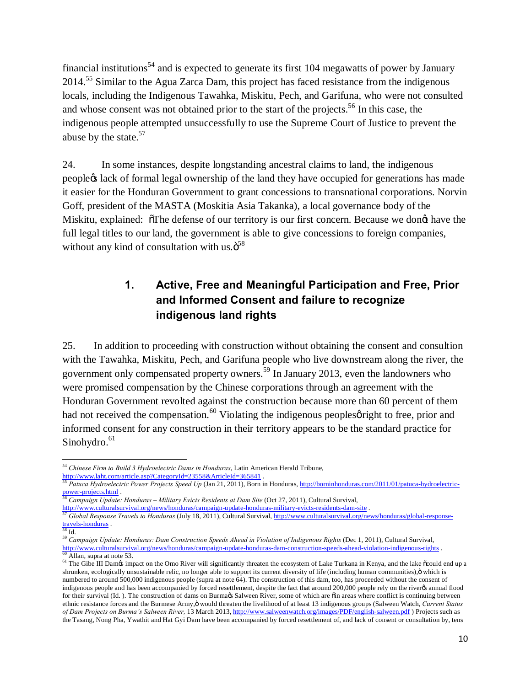financial institutions<sup>54</sup> and is expected to generate its first  $104$  megawatts of power by January 2014.55 Similar to the Agua Zarca Dam, this project has faced resistance from the indigenous locals, including the Indigenous Tawahka, Miskitu, Pech, and Garifuna, who were not consulted and whose consent was not obtained prior to the start of the projects.<sup>56</sup> In this case, the indigenous people attempted unsuccessfully to use the Supreme Court of Justice to prevent the abuse by the state.<sup>57</sup>

24. In some instances, despite longstanding ancestral claims to land, the indigenous people's lack of formal legal ownership of the land they have occupied for generations has made it easier for the Honduran Government to grant concessions to transnational corporations. Norvin Goff, president of the MASTA (Moskitia Asia Takanka), a local governance body of the Miskitu, explained:  $\sigma$ The defense of our territory is our first concern. Because we dongt have the full legal titles to our land, the government is able to give concessions to foreign companies, without any kind of consultation with us. $\ddot{\mathrm{o}}^{58}$ 

### **1. Active, Free and Meaningful Participation and Free, Prior and Informed Consent and failure to recognize indigenous land rights**

25. In addition to proceeding with construction without obtaining the consent and consultion with the Tawahka, Miskitu, Pech, and Garifuna people who live downstream along the river, the government only compensated property owners.<sup>59</sup> In January 2013, even the landowners who were promised compensation by the Chinese corporations through an agreement with the Honduran Government revolted against the construction because more than 60 percent of them had not received the compensation.<sup>60</sup> Violating the indigenous peoples  $\varphi$  right to free, prior and informed consent for any construction in their territory appears to be the standard practice for Sinohydro.<sup>61</sup>

<sup>54</sup> *Chinese Firm to Build 3 Hydroelectric Dams in Honduras*, Latin American Herald Tribune,

http://www.laht.com/article.asp?CategoryId=23558&ArticleId=365841 . <sup>55</sup> *Patuca Hydroelectric Power Projects Speed Up* (Jan 21, 2011), Born in Honduras, http://borninhonduras.com/2011/01/patuca-hydroelectricpower-projects.html .

<sup>56</sup> *Campaign Update: Honduras – Military Evicts Residents at Dam Site* (Oct 27, 2011), Cultural Survival,

http://www.culturalsurvival.org/news/honduras/campaign-update-honduras-military-evicts-residents-dam-site<br>57 Global Response Travels to Honduras (July 18, 2011), Cultural Survival, http://www.culturalsurvival.org/news/hond  $\frac{\text{travels-honduras}}{58}$  Id.

<sup>59</sup> *Campaign Update: Honduras: Dam Construction Speeds Ahead in Violation of Indigenous Rights* (Dec 1, 2011), Cultural Survival, http://www.culturalsurvival.org/news/honduras/campaign-update-honduras-dam-construction-spee  $\frac{60}{61}$  Allan, supra at note 53.<br><sup>61</sup> The Gibe III Dames impact on the Omo River will significantly threaten the ecosystem of Lake Turkana in Kenya, and the lake occuld end up a

shrunken, ecologically unsustainable relic, no longer able to support its current diversity of life (including human communities),  $\ddot{o}$  which is numbered to around 500,000 indigenous people (supra at note 64). The construction of this dam, too, has proceeded without the consent of indigenous people and has been accompanied by forced resettlement, despite the fact that around 200,000 people rely on the river is annual flood for their survival (Id. ). The construction of dams on Burma & Salween River, some of which are  $\ddot{o}$  in areas where conflict is continuing between ethnic resistance forces and the Burmese Army, ö would threaten the livelihood of at least 13 indigenous groups (Salween Watch, *Current Status of Dam Projects on Burma's Salween River,* 13 March 2013, http://www.salweenwatch.org/images/PDF/english-salween.pdf ) Projects such as the Tasang, Nong Pha, Ywathit and Hat Gyi Dam have been accompanied by forced resettlement of, and lack of consent or consultation by, tens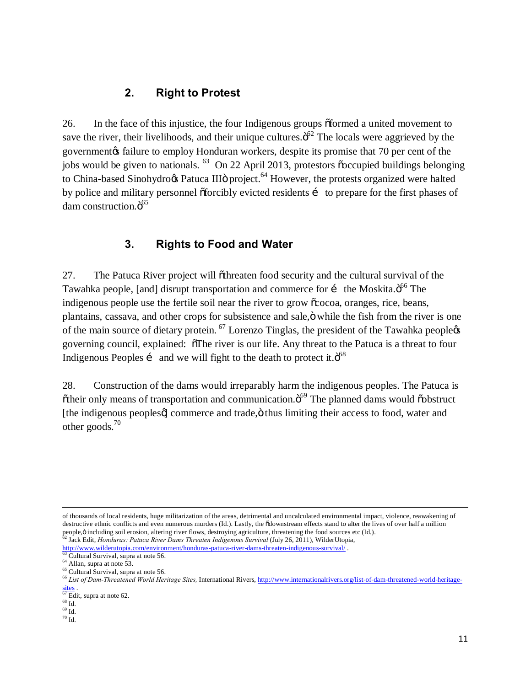#### **2. Right to Protest**

26. In the face of this injustice, the four Indigenous groups of formed a united movement to save the river, their livelihoods, and their unique cultures. $\ddot{\mathrm{o}}^{62}$  The locals were aggrieved by the government $\alpha$  failure to employ Honduran workers, despite its promise that 70 per cent of the jobs would be given to nationals. <sup>63</sup> On 22 April 2013, protestors  $\tilde{c}$  occupied buildings belonging to China-based Sinohydroos Patuca III<sub>Ö</sub> project.<sup>64</sup> However, the protests organized were halted by police and military personnel  $\delta$  forcibly evicted residents in to prepare for the first phases of dam construction.ö<sup>65</sup>

### **3. Rights to Food and Water**

27. The Patuca River project will othreaten food security and the cultural survival of the Tawahka people, [and] disrupt transportation and commerce for i the Moskita. $\ddot{o}^{66}$  The indigenous people use the fertile soil near the river to grow  $\tilde{\alpha}$  cocoa, oranges, rice, beans, plantains, cassava, and other crops for subsistence and sale,  $\ddot{o}$  while the fish from the river is one of the main source of dietary protein.  $^{67}$  Lorenzo Tinglas, the president of the Tawahka peoplegs governing council, explained:  $\delta$ The river is our life. Any threat to the Patuca is a threat to four Indigenous Peoples i and we will fight to the death to protect it. $\ddot{\text{o}}^{68}$ 

28. Construction of the dams would irreparably harm the indigenous peoples. The Patuca is  $\ddot{\text{o}}$  otheir only means of transportation and communication. $\ddot{\text{o}}^{69}$  The planned dams would  $\ddot{\text{o}}$  obstruct [the indigenous peoples)] commerce and trade, $\ddot{o}$  thus limiting their access to food, water and other goods.70

 $\overline{a}$ 

of thousands of local residents, huge militarization of the areas, detrimental and uncalculated environmental impact, violence, reawakening of destructive ethnic conflicts and even numerous murders (Id.). Lastly, the  $\delta$ downstream effects stand to alter the lives of over half a million people, ö including soil erosion, altering river flows, destroying agriculture, threatening the food sources etc (Id.).<br><sup>62</sup> Jack Edit, *Honduras: Patuca River Dams Threaten Indigenous Survival* (July 26, 2011), WilderUtop

http://www.wilderutopia.com/environment/honduras-patuca-river-dams-threaten-indigenous-survival/.<br>
63 Cultural Survival, supra at note 56.<br>
64 Allan, supra at note 53.<br>
65 Cultural Survival, supra at note 56.<br>
66 List of D

sites .

 $\frac{67}{68}$  Edit, supra at note 62.

 $^{69}\mbox{Id.}$ 

 $70$  Id.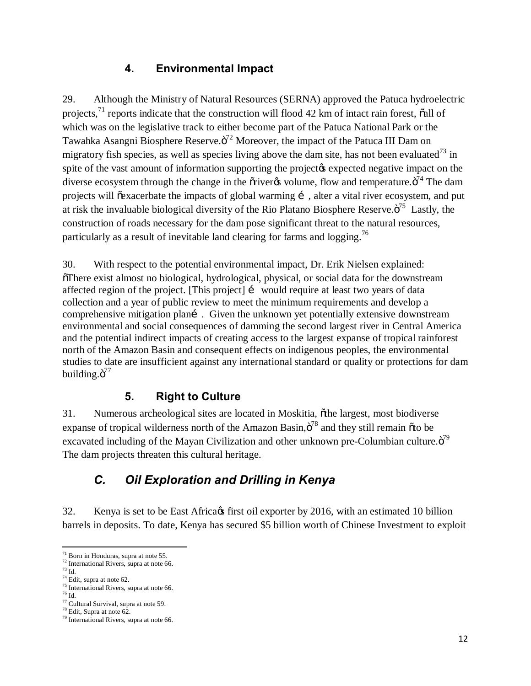#### **4. Environmental Impact**

29. Although the Ministry of Natural Resources (SERNA) approved the Patuca hydroelectric projects, $^{71}$  reports indicate that the construction will flood 42 km of intact rain forest,  $\ddot{\text{o}}$ all of which was on the legislative track to either become part of the Patuca National Park or the Tawahka Asangni Biosphere Reserve. $\ddot{\mathrm{o}}^{72}$  Moreover, the impact of the Patuca III Dam on migratory fish species, as well as species living above the dam site, has not been evaluated<sup>73</sup> in spite of the vast amount of information supporting the project to expected negative impact on the diverse ecosystem through the change in the  $\tilde{\text{or}}$  volume, flow and temperature. $\tilde{\text{o}}^{74}$  The dam projects will  $\tilde{\text{e}}$  exacerbate the impacts of global warming  $\tilde{\text{i}}$ , alter a vital river ecosystem, and put at risk the invaluable biological diversity of the Rio Platano Biosphere Reserve. $\ddot{\sigma}^{75}$  Lastly, the construction of roads necessary for the dam pose significant threat to the natural resources, particularly as a result of inevitable land clearing for farms and logging.<sup>76</sup>

30. With respect to the potential environmental impact, Dr. Erik Nielsen explained: "There exist almost no biological, hydrological, physical, or social data for the downstream affected region of the project. [This project] … would require at least two years of data collection and a year of public review to meet the minimum requirements and develop a comprehensive mitigation planí. Given the unknown yet potentially extensive downstream environmental and social consequences of damming the second largest river in Central America and the potential indirect impacts of creating access to the largest expanse of tropical rainforest north of the Amazon Basin and consequent effects on indigenous peoples, the environmental studies to date are insufficient against any international standard or quality or protections for dam building. $\ddot{\mathrm{o}}^{77}$ 

### **5. Right to Culture**

31. Numerous archeological sites are located in Moskitia, "the largest, most biodiverse expanse of tropical wilderness north of the Amazon Basin, $\ddot{o}^{78}$  and they still remain  $\ddot{o}$  to be excavated including of the Mayan Civilization and other unknown pre-Columbian culture. $\ddot{\text{o}}^{79}$ The dam projects threaten this cultural heritage.

# *C. Oil Exploration and Drilling in Kenya*

32. Kenya is set to be East Africa  $\beta$  first oil exporter by 2016, with an estimated 10 billion barrels in deposits. To date, Kenya has secured \$5 billion worth of Chinese Investment to exploit

<sup>&</sup>lt;sup>71</sup> Born in Honduras, supra at note 55.<br><sup>72</sup> International Rivers, supra at note 66.

 $73$  Id.<br> $74$  Edit, supra at note 62.

<sup>&</sup>lt;sup>75</sup> International Rivers, supra at note 66.<br><sup>76</sup> Id.<br><sup>77</sup> Cultural Survival, supra at note 59.

 $78 \text{ Edit}$ , Supra at note 62.<br> $79 \text{ International Rivers}$ , supra at note 66.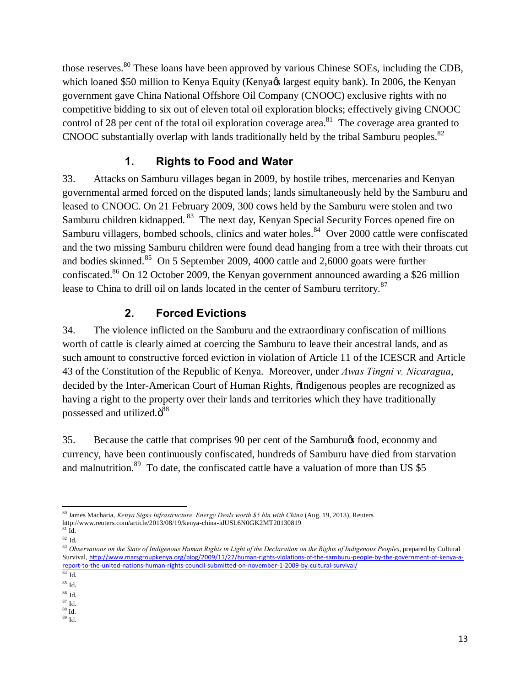those reserves.<sup>80</sup> These loans have been approved by various Chinese SOEs, including the CDB, which loaned \$50 million to Kenya Equity (Kenya & largest equity bank). In 2006, the Kenyan government gave China National Offshore Oil Company (CNOOC) exclusive rights with no competitive bidding to six out of eleven total oil exploration blocks; effectively giving CNOOC control of 28 per cent of the total oil exploration coverage area.<sup>81</sup> The coverage area granted to CNOOC substantially overlap with lands traditionally held by the tribal Samburu peoples.<sup>82</sup>

### **1. Rights to Food and Water**

33. Attacks on Samburu villages began in 2009, by hostile tribes, mercenaries and Kenyan governmental armed forced on the disputed lands; lands simultaneously held by the Samburu and leased to CNOOC. On 21 February 2009, 300 cows held by the Samburu were stolen and two Samburu children kidnapped. <sup>83</sup> The next day, Kenyan Special Security Forces opened fire on Samburu villagers, bombed schools, clinics and water holes.<sup>84</sup> Over 2000 cattle were confiscated and the two missing Samburu children were found dead hanging from a tree with their throats cut and bodies skinned.<sup>85</sup> On 5 September 2009, 4000 cattle and 2,6000 goats were further confiscated.<sup>86</sup> On 12 October 2009, the Kenyan government announced awarding a \$26 million lease to China to drill oil on lands located in the center of Samburu territory.<sup>87</sup>

### **2. Forced Evictions**

34. The violence inflicted on the Samburu and the extraordinary confiscation of millions worth of cattle is clearly aimed at coercing the Samburu to leave their ancestral lands, and as such amount to constructive forced eviction in violation of Article 11 of the ICESCR and Article 43 of the Constitution of the Republic of Kenya. Moreover, under *Awas Tingni v. Nicaragua*, decided by the Inter-American Court of Human Rights,  $\tilde{o}$ Indigenous peoples are recognized as having a right to the property over their lands and territories which they have traditionally possessed and utilized. $\ddot{\mathrm{o}}^{88}$ 

35. Because the cattle that comprises 90 per cent of the Samburu $\alpha$  food, economy and currency, have been continuously confiscated, hundreds of Samburu have died from starvation and malnutrition.<sup>89</sup> To date, the confiscated cattle have a valuation of more than US \$5

<sup>80</sup> James Macharia, *Kenya Signs Infrastructure, Energy Deals worth \$5 bln with China* (Aug. 19, 2013), Reuters*.*  <code>http://www.reuters.com/article/2013/08/19/kenya-china-idUSL6N0GK2MT20130819</code>  $^{\text{81}}$  Id.

<sup>82</sup> Id*.*

<sup>83</sup> Observations on the State of Indigenous Human Rights in Light of the Declaration on the Rights of Indigenous Peoples, prepared by Cultural Survival, http://www.marsgroupkenya.org/blog/2009/11/27/human-rights-violations-of-the-samburu-people-by-the-government-of-kenya-areport-to-the-united-nations-human-rights-council-submitted-on-november-1-2009-by-cultural-survival/

<sup>84</sup> Id*.*

<sup>85</sup> Id*.*

<sup>86</sup> Id*.* 

 $^{88}$  Id.

 $^{89}$  Id.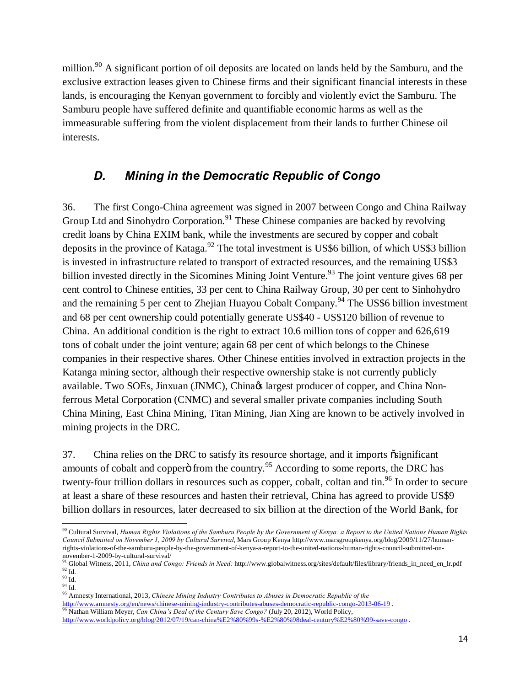million.<sup>90</sup> A significant portion of oil deposits are located on lands held by the Samburu, and the exclusive extraction leases given to Chinese firms and their significant financial interests in these lands, is encouraging the Kenyan government to forcibly and violently evict the Samburu. The Samburu people have suffered definite and quantifiable economic harms as well as the immeasurable suffering from the violent displacement from their lands to further Chinese oil interests.

#### *D. Mining in the Democratic Republic of Congo*

36. The first Congo-China agreement was signed in 2007 between Congo and China Railway Group Ltd and Sinohydro Corporation.<sup>91</sup> These Chinese companies are backed by revolving credit loans by China EXIM bank, while the investments are secured by copper and cobalt deposits in the province of Kataga.<sup>92</sup> The total investment is US\$6 billion, of which US\$3 billion is invested in infrastructure related to transport of extracted resources, and the remaining US\$3 billion invested directly in the Sicomines Mining Joint Venture.<sup>93</sup> The joint venture gives 68 per cent control to Chinese entities, 33 per cent to China Railway Group, 30 per cent to Sinhohydro and the remaining 5 per cent to Zhejian Huayou Cobalt Company.<sup>94</sup> The US\$6 billion investment and 68 per cent ownership could potentially generate US\$40 - US\$120 billion of revenue to China. An additional condition is the right to extract 10.6 million tons of copper and 626,619 tons of cobalt under the joint venture; again 68 per cent of which belongs to the Chinese companies in their respective shares. Other Chinese entities involved in extraction projects in the Katanga mining sector, although their respective ownership stake is not currently publicly available. Two SOEs, Jinxuan (JNMC), China $\alpha$  largest producer of copper, and China Nonferrous Metal Corporation (CNMC) and several smaller private companies including South China Mining, East China Mining, Titan Mining, Jian Xing are known to be actively involved in mining projects in the DRC.

37. China relies on the DRC to satisfy its resource shortage, and it imports  $\tilde{\text{osignificant}}$ amounts of cobalt and copper $\ddot{\text{o}}$  from the country.<sup>95</sup> According to some reports, the DRC has twenty-four trillion dollars in resources such as copper, cobalt, coltan and tin.<sup>96</sup> In order to secure at least a share of these resources and hasten their retrieval, China has agreed to provide US\$9 billion dollars in resources, later decreased to six billion at the direction of the World Bank, for

<sup>90</sup> Cultural Survival, *Human Rights Violations of the Samburu People by the Government of Kenya: a Report to the United Nations Human Rights Council Submitted on November 1, 2009 by Cultural Survival*, Mars Group Kenya http://www.marsgroupkenya.org/blog/2009/11/27/humanrights-violations-of-the-samburu-people-by-the-government-of-kenya-a-report-to-the-united-nations-human-rights-council-submitted-on-

<sup>&</sup>lt;sup>91</sup> Global Witness, 2011, *China and Congo: Friends in Need:* http://www.globalwitness.org/sites/default/files/library/friends\_in\_need\_en\_lr.pdf  $92 \overline{Id}$ .

 $^{93}$  Id.  $\,$ 

 $94$  Id.

<sup>95</sup> Amnesty International, 2013, *Chinese Mining Industry Contributes to Abuses in Democratic Republic of the*  http://www.amnesty.org/en/news/chinese-mining-industry-contributes-abuses-democratic-republic-congo-2013-06-19<br><sup>96</sup> Nathan William Meyer, *Can China's Deal of the Century Save Congo?* (July 20, 2012), World Policy, http://www.worldpolicy.org/blog/2012/07/19/can-china%E2%80%99s-%E2%80%98deal-century%E2%80%99-save-congo .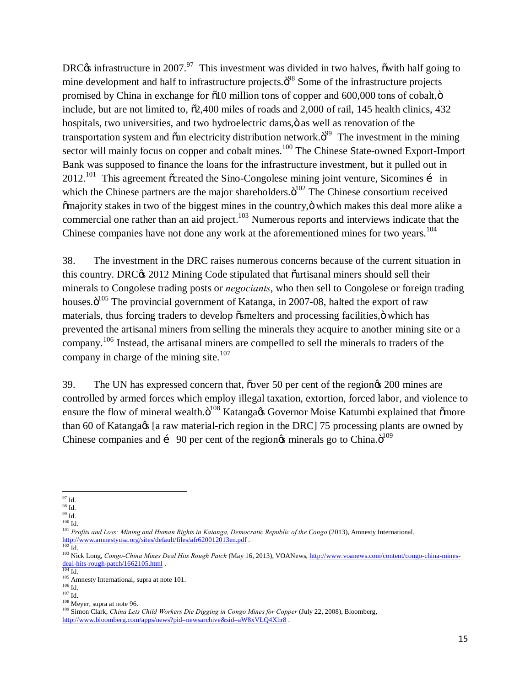DRC $\alpha$  infrastructure in 2007.<sup>97</sup> This investment was divided in two halves,  $\ddot{\text{o}}$  with half going to mine development and half to infrastructure projects. $\ddot{\sigma}^{98}$  Some of the infrastructure projects promised by China in exchange for  $\delta$ 10 million tons of copper and 600,000 tons of cobalt, $\ddot{\rm o}$ include, but are not limited to,  $\delta$ 2,400 miles of roads and 2,000 of rail, 145 health clinics, 432 hospitals, two universities, and two hydroelectric dams, $\ddot{o}$  as well as renovation of the transportation system and  $\tilde{o}$ an electricity distribution network. $\tilde{o}^{99}$  The investment in the mining sector will mainly focus on copper and cobalt mines.<sup>100</sup> The Chinese State-owned Export-Import Bank was supposed to finance the loans for the infrastructure investment, but it pulled out in  $2012.^{101}$  This agreement  $\tilde{c}$  created the Sino-Congolese mining joint venture, Sicomines  $\tilde{c}$  in which the Chinese partners are the major shareholders. $\ddot{\text{o}}^{102}$  The Chinese consortium received  $\tilde{m}$  majority stakes in two of the biggest mines in the country,  $\ddot{\text{o}}$  which makes this deal more alike a commercial one rather than an aid project.<sup>103</sup> Numerous reports and interviews indicate that the Chinese companies have not done any work at the aforementioned mines for two years.<sup>104</sup>

38. The investment in the DRC raises numerous concerns because of the current situation in this country. DRC $\&$  2012 Mining Code stipulated that  $\tilde{a}$  artisanal miners should sell their minerals to Congolese trading posts or *negociants*, who then sell to Congolese or foreign trading houses. $\ddot{\text{o}}^{105}$  The provincial government of Katanga, in 2007-08, halted the export of raw materials, thus forcing traders to develop  $\tilde{o}$ smelters and processing facilities, $\ddot{o}$  which has prevented the artisanal miners from selling the minerals they acquire to another mining site or a company.106 Instead, the artisanal miners are compelled to sell the minerals to traders of the company in charge of the mining site. $107$ 

39. The UN has expressed concern that, os over 50 per cent of the region  $\alpha$  200 mines are controlled by armed forces which employ illegal taxation, extortion, forced labor, and violence to ensure the flow of mineral wealth. $\ddot{\mathrm{o}}^{108}$  Katanga $\alpha$  Governor Moise Katumbi explained that  $\ddot{\mathrm{o}}$ more than 60 of Katanga& [a raw material-rich region in the DRC] 75 processing plants are owned by Chinese companies and  $\mathbf{i}$  90 per cent of the region  $\phi$  minerals go to China. $\mathbf{d}^{109}$ 

 $97$  Id.

 $^{98}$  Id.  $\,$ 

 $^{99}_{100}$  Id.  $\,$ 

<sup>&</sup>lt;sup>101</sup> *Profits and Loss: Mining and Human Rights in Katanga, Democratic Republic of the Congo* (2013), Amnesty International, <br>  $\frac{http://www.ammestyusa.org/stes/default/files/afr620012013en.pdf}{102}$ .

http://www.voanews.com/content/congo-China Mines Deal Hits Rough Patch (May 16, 2013), VOANews, http://www.voanews.com/content/congo-china-mines-<br>deal-hits-rough-patch/1662105.html .

<sup>&</sup>lt;sup>105</sup> Amnesty International, supra at note 101.<br><sup>106</sup> Id.<br><sup>107</sup> Id. <sup>107</sup> Id. <sup>107</sup> Id. <sup>108</sup> Neyer, supra at note 96.<br><sup>108</sup> Simon Clark, *China Lets Child Workers Die Digging in Congo Mines for Copper* (July 22, 2008), Bl http://www.bloomberg.com/apps/news?pid=newsarchive&sid=aW8xVLQ4Xhr8 .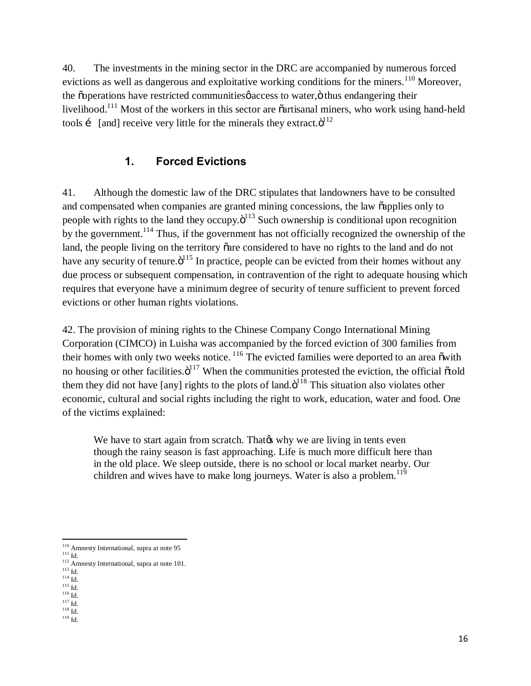40. The investments in the mining sector in the DRC are accompanied by numerous forced evictions as well as dangerous and exploitative working conditions for the miners.<sup>110</sup> Moreover, the  $\tilde{\text{coperations}}$  have restricted communities access to water,  $\ddot{\text{o}}$  thus endangering their livelihood.<sup>111</sup> Most of the workers in this sector are  $\ddot{\text{o}}$  artisanal miners, who work using hand-held tools i [and] receive very little for the minerals they extract. $\ddot{o}^{112}$ 

#### **1. Forced Evictions**

41. Although the domestic law of the DRC stipulates that landowners have to be consulted and compensated when companies are granted mining concessions, the law  $\tilde{c}$  applies only to people with rights to the land they occupy. $\ddot{\mathrm{o}}^{113}$  Such ownership is conditional upon recognition by the government.<sup>114</sup> Thus, if the government has not officially recognized the ownership of the land, the people living on the territory oare considered to have no rights to the land and do not have any security of tenure. $\ddot{o}^{115}$  In practice, people can be evicted from their homes without any due process or subsequent compensation, in contravention of the right to adequate housing which requires that everyone have a minimum degree of security of tenure sufficient to prevent forced evictions or other human rights violations.

42. The provision of mining rights to the Chinese Company Congo International Mining Corporation (CIMCO) in Luisha was accompanied by the forced eviction of 300 families from their homes with only two weeks notice.  $116$  The evicted families were deported to an area  $\ddot{\text{o}}$  with no housing or other facilities. $\ddot{o}^{117}$  When the communities protested the eviction, the official  $\ddot{o}$ told them they did not have [any] rights to the plots of land. $\ddot{o}^{118}$  This situation also violates other economic, cultural and social rights including the right to work, education, water and food. One of the victims explained:

We have to start again from scratch. That the why we are living in tents even though the rainy season is fast approaching. Life is much more difficult here than in the old place. We sleep outside, there is no school or local market nearby. Our children and wives have to make long journeys. Water is also a problem.<sup>119</sup>

<sup>&</sup>lt;sup>110</sup> Amnesty International, supra at note 95<br>
<sup>111</sup> Id.<br>
<sup>112</sup> Amnesty International, supra at note 101.<br>
<sup>113</sup> Id.<br>
<sup>115</sup> Id.<br>
<sup>115</sup> Id.<br>
<sup>117</sup> Id.<br>
<sup>117</sup> Id.<br>
<sup>119</sup> Id.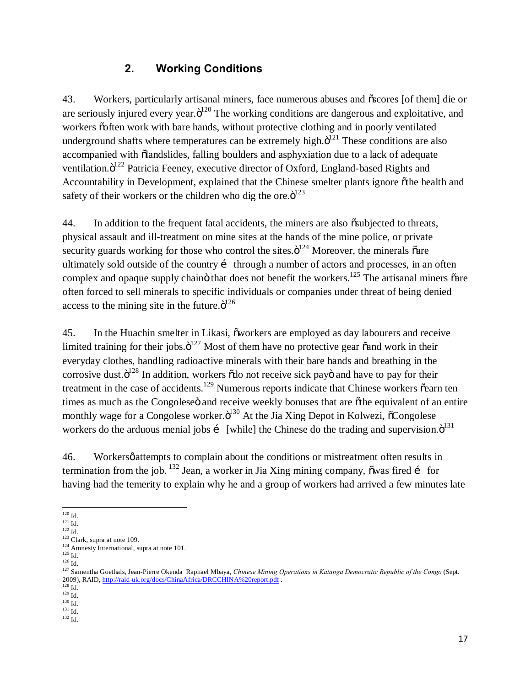#### **2. Working Conditions**

43. Workers, particularly artisanal miners, face numerous abuses and  $\tilde{\sigma}$ scores [of them] die or are seriously injured every year. $\ddot{o}^{120}$  The working conditions are dangerous and exploitative, and workers õoften work with bare hands, without protective clothing and in poorly ventilated underground shafts where temperatures can be extremely high. $\ddot{o}^{121}$  These conditions are also accompanied with  $\ddot{\text{o}}$ landslides, falling boulders and asphyxiation due to a lack of adequate ventilation. $\ddot{o}^{122}$  Patricia Feeney, executive director of Oxford, England-based Rights and Accountability in Development, explained that the Chinese smelter plants ignore othe health and safety of their workers or the children who dig the ore. $\ddot{o}^{123}$ 

44. In addition to the frequent fatal accidents, the miners are also  $\tilde{o}$ subjected to threats, physical assault and ill-treatment on mine sites at the hands of the mine police, or private security guards working for those who control the sites. $\ddot{\mathrm{o}}^{124}$  Moreover, the minerals  $\ddot{\mathrm{o}}$ are ultimately sold outside of the country  $\mathbf{i}$  through a number of actors and processes, in an often complex and opaque supply chain that does not benefit the workers.<sup>125</sup> The artisanal miners  $\tilde{o}$ are often forced to sell minerals to specific individuals or companies under threat of being denied access to the mining site in the future. $\ddot{o}^{126}$ 

45. In the Huachin smelter in Likasi,  $\tilde{\text{owor}}$  are employed as day labourers and receive limited training for their jobs. $\ddot{\mathrm{o}}^{127}$  Most of them have no protective gear  $\ddot{\circ}$  and work in their everyday clothes, handling radioactive minerals with their bare hands and breathing in the corrosive dust. $\ddot{o}^{128}$  In addition, workers  $\ddot{o}$  do not receive sick pay $\ddot{o}$  and have to pay for their treatment in the case of accidents.<sup>129</sup> Numerous reports indicate that Chinese workers  $\tilde{\text{cearn}}$  ten times as much as the Congolese<sub>"</sub> and receive weekly bonuses that are  $\delta$ <sup>the</sup> equivalent of an entire monthly wage for a Congolese worker. $\ddot{o}^{130}$  At the Jia Xing Depot in Kolwezi,  $\ddot{o}$ Congolese workers do the arduous menial jobs i [while] the Chinese do the trading and supervision. $\ddot{o}^{131}$ 

46. Workers *ø* attempts to complain about the conditions or mistreatment often results in termination from the job.  $^{132}$  Jean, a worker in Jia Xing mining company,  $\tilde{\text{o}}$  was fired i for having had the temerity to explain why he and a group of workers had arrived a few minutes late

<sup>&</sup>lt;sup>120</sup> Id.<br><sup>121</sup> Id.<br><sup>122</sup> Id.<br><sup>123</sup> Clark, supra at note 109.<br><sup>124</sup> Amnesty International, supra at note 101.

<sup>125</sup> Id. 1124 Amnesty International, supra at note 101.<br><sup>125</sup> Id. 126 Id. 126 Id. 126 Id. 127 Samentha Goethals, Jean-Pierre Okenda Raphael Mbaya, *Chinese Mining Operations in Katanga Democratic Republic of the Congo* (Sep 2009), RAID, <u>http://raid-uk.org/docs/ChinaAfrica/DRCCHINA%20report.pdf</u> . <sup>128</sup> Id. <sup>129</sup> Id. <sup>130</sup> Id. <sup>130</sup> Id. <sup>131</sup> Id. <sup>131</sup> Id. <sup>131</sup> Id.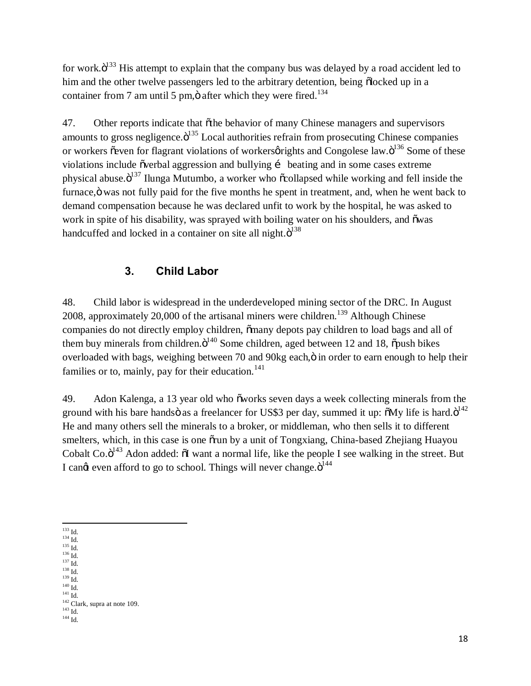for work. $\ddot{o}^{133}$  His attempt to explain that the company bus was delayed by a road accident led to him and the other twelve passengers led to the arbitrary detention, being  $\ddot{\text{o}}$ locked up in a container from 7 am until 5 pm, $\ddot{\text{o}}$  after which they were fired.<sup>134</sup>

47. Other reports indicate that  $\tilde{\sigma}$ the behavior of many Chinese managers and supervisors amounts to gross negligence. $\ddot{o}^{135}$  Local authorities refrain from prosecuting Chinese companies or workers õeven for flagrant violations of workersørights and Congolese law. $\ddot{o}^{136}$  Some of these violations include õverbal aggression and bullying i beating and in some cases extreme physical abuse. $\ddot{\mathrm{o}}^{137}$  Ilunga Mutumbo, a worker who  $\ddot{\mathrm{o}}$ collapsed while working and fell inside the furnace, ö was not fully paid for the five months he spent in treatment, and, when he went back to demand compensation because he was declared unfit to work by the hospital, he was asked to work in spite of his disability, was sprayed with boiling water on his shoulders, and õwas handcuffed and locked in a container on site all night. $\ddot{o}^{138}$ 

#### **3. Child Labor**

48. Child labor is widespread in the underdeveloped mining sector of the DRC. In August 2008, approximately 20,000 of the artisanal miners were children.<sup>139</sup> Although Chinese companies do not directly employ children,  $\ddot{\text{o}}$  many depots pay children to load bags and all of them buy minerals from children. $\ddot{o}^{140}$  Some children, aged between 12 and 18,  $\ddot{o}$  push bikes overloaded with bags, weighing between 70 and 90kg each, ö in order to earn enough to help their families or to, mainly, pay for their education. $141$ 

49. Adon Kalenga, a 13 year old who õworks seven days a week collecting minerals from the ground with his bare handsö as a freelancer for US\$3 per day, summed it up:  $\delta My$  life is hard. $\delta^{142}$ He and many others sell the minerals to a broker, or middleman, who then sells it to different smelters, which, in this case is one  $\delta$ run by a unit of Tongxiang, China-based Zhejiang Huayou Cobalt Co. $\ddot{o}^{143}$  Adon added:  $\ddot{o}I$  want a normal life, like the people I see walking in the street. But I cand even afford to go to school. Things will never change. $\ddot{\mathrm{o}}^{144}$ 

<sup>133</sup> Id.<br>
<sup>135</sup> Id.<br>
<sup>136</sup> Id.<br>
<sup>137</sup> Id.<br>
<sup>139</sup> Id.<br>
<sup>138</sup> Id.<br>
<sup>140</sup> Id.<br>
<sup>141</sup> Id.<br>
<sup>142</sup> Clark, supra at note 109.<br>
<sup>143</sup> Clark, supra at note 109.<br>
<sup>143</sup> Id.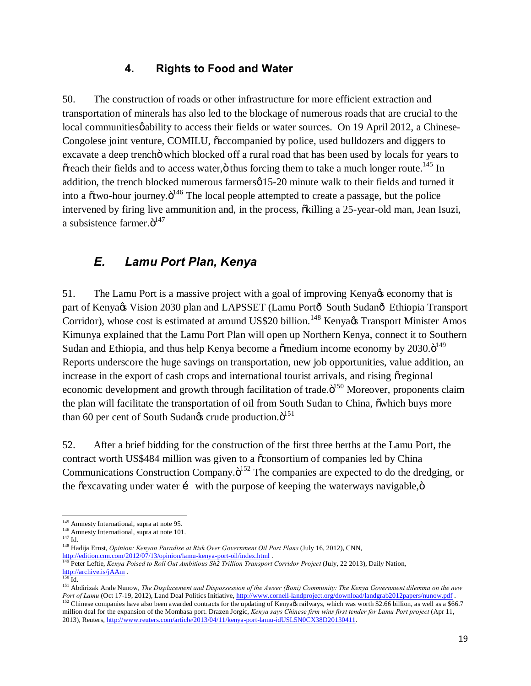#### **4. Rights to Food and Water**

50. The construction of roads or other infrastructure for more efficient extraction and transportation of minerals has also led to the blockage of numerous roads that are crucial to the local communities  $\phi$  ability to access their fields or water sources. On 19 April 2012, a Chinese-Congolese joint venture, COMILU,  $\tilde{c}$  accompanied by police, used bulldozers and diggers to excavate a deep trench o which blocked off a rural road that has been used by locals for years to  $\tilde{\text{or}}$  or their fields and to access water, $\ddot{\text{o}}$  thus forcing them to take a much longer route.<sup>145</sup> In addition, the trench blocked numerous farmersø 15-20 minute walk to their fields and turned it into a  $\tilde{\alpha}$  two-hour journey. $\tilde{\beta}^{146}$  The local people attempted to create a passage, but the police intervened by firing live ammunition and, in the process,  $\ddot{\text{o}}$  killing a 25-year-old man, Jean Isuzi, a subsistence farmer. $\ddot{\mathrm{o}}^{147}$ 

### *E. Lamu Port Plan, Kenya*

51. The Lamu Port is a massive project with a goal of improving Kenya & economy that is part of Kenya $\alpha$ s Vision 2030 plan and LAPSSET (Lamu Portô South Sudanô Ethiopia Transport Corridor), whose cost is estimated at around US\$20 billion.<sup>148</sup> Kenya¢s Transport Minister Amos Kimunya explained that the Lamu Port Plan will open up Northern Kenya, connect it to Southern Sudan and Ethiopia, and thus help Kenya become a  $\tilde{\text{o}}$  medium income economy by 2030. $\tilde{\text{o}}^{149}$ Reports underscore the huge savings on transportation, new job opportunities, value addition, an increase in the export of cash crops and international tourist arrivals, and rising origional economic development and growth through facilitation of trade. $\ddot{o}^{150}$  Moreover, proponents claim the plan will facilitate the transportation of oil from South Sudan to China, owhich buys more than 60 per cent of South Sudangs crude production. $\ddot{\mathrm{o}}^{151}$ 

52. After a brief bidding for the construction of the first three berths at the Lamu Port, the contract worth US\$484 million was given to a  $\tilde{\alpha}$  consortium of companies led by China Communications Construction Company. $\ddot{o}^{152}$  The companies are expected to do the dredging, or the  $\tilde{\text{c}}$  excavating under water  $\tilde{\text{i}}$  with the purpose of keeping the waterways navigable, $\ddot{\text{o}}$ 

<sup>&</sup>lt;sup>145</sup> Amnesty International, supra at note 95.<br><sup>146</sup> Amnesty International, supra at note 101.<br><sup>147</sup> Id. <sup>148</sup> Hadija Ernst, *Opinion: Kenyan Paradise at Risk Over Government Oil Port Plans (July 16, 2012), CNN*,

http://edition.cnn.com/2012/07/13/opinion/lamu-kenya-port-oil/index.html .<br><sup>149</sup> Peter Leftie, *Kenya Poised to Roll Out Ambitious Sh2 Trillion Transport Corridor Project* (July, 22 2013), Daily Nation,<br><sup>150</sup> Id.

http://archive.is/jaam . 151 Abdirizak Arale Nunow, *The Displacement and Dispossession of the Aweer (Boni) Community: The Kenya Government dilemma on the new*  $\frac{151}{100}$ Port of Lamu (Oct 17-19, 2012), Land Deal Politics Initiative, http://www.cornell-landproject.org/download/landgrab2012papers/nunow.pdf.<br><sup>152</sup> Chinese companies have also been awarded contracts for the updating of Kenya¢s million deal for the expansion of the Mombasa port. Drazen Jorgic, *Kenya says Chinese firm wins first tender for Lamu Port project* (Apr 11, 2013), Reuters, http://www.reuters.com/article/2013/04/11/kenya-port-lamu-idUSL5N0CX38D20130411.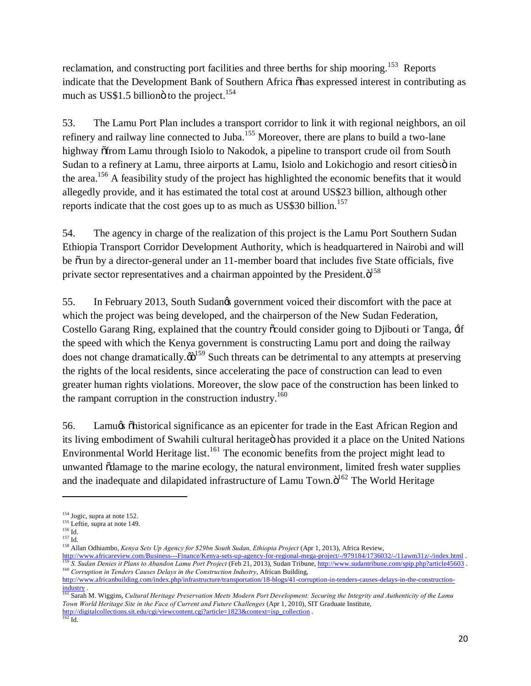reclamation, and constructing port facilities and three berths for ship mooring.<sup>153</sup> Reports indicate that the Development Bank of Southern Africa  $\delta$ has expressed interest in contributing as much as US\$1.5 billion o to the project.<sup>154</sup>

53. The Lamu Port Plan includes a transport corridor to link it with regional neighbors, an oil refinery and railway line connected to Juba.<sup>155</sup> Moreover, there are plans to build a two-lane highway  $\delta$ from Lamu through Isiolo to Nakodok, a pipeline to transport crude oil from South Sudan to a refinery at Lamu, three airports at Lamu, Isiolo and Lokichogio and resort cities in the area.<sup>156</sup> A feasibility study of the project has highlighted the economic benefits that it would allegedly provide, and it has estimated the total cost at around US\$23 billion, although other reports indicate that the cost goes up to as much as  $US$30 billion.<sup>157</sup>$ 

54. The agency in charge of the realization of this project is the Lamu Port Southern Sudan Ethiopia Transport Corridor Development Authority, which is headquartered in Nairobi and will be  $\tilde{\sigma}$  orun by a director-general under an 11-member board that includes five State officials, five private sector representatives and a chairman appointed by the President. $\ddot{o}^{158}$ 

55. In February 2013, South Sudan's government voiced their discomfort with the pace at which the project was being developed, and the chairperson of the New Sudan Federation, Costello Garang Ring, explained that the country  $\tilde{\text{c}}$ could consider going to Djibouti or Tanga,  $\pm$ if the speed with which the Kenya government is constructing Lamu port and doing the railway does not change dramatically. $\ddot{\omega}^{159}$  Such threats can be detrimental to any attempts at preserving the rights of the local residents, since accelerating the pace of construction can lead to even greater human rights violations. Moreover, the slow pace of the construction has been linked to the rampant corruption in the construction industry.<sup>160</sup>

56. Lamu $\infty$  "historical significance as an epicenter for trade in the East African Region and its living embodiment of Swahili cultural heritage has provided it a place on the United Nations Environmental World Heritage list.<sup>161</sup> The economic benefits from the project might lead to unwanted  $\tilde{o}$ damage to the marine ecology, the natural environment, limited fresh water supplies and the inadequate and dilapidated infrastructure of Lamu Town. $\ddot{o}^{162}$  The World Heritage

 $\overline{a}$ 

<sup>&</sup>lt;sup>154</sup> Jogic, supra at note 152.<br>
<sup>155</sup> Leftie, supra at note 149.<br>
<sup>156</sup> Id.<br>
<sup>157</sup> Id. <sup>157</sup> Id. 157 Id.<br>
<sup>158</sup> Allan Odhiambo, *Kenya Sets Up Agency for \$29bn South Sudan, Ethiopia Project* (Apr 1, 2013), Africa Review,<br>

<sup>&</sup>lt;sup>159</sup>S. Sudan Denies it Plans to Abandon Lamu Port Project (Feb 21, 2013), Sudan Tribune, http://www.sudantribune.com/spip.php?article45603. <sup>160</sup> *Corruption in Tenders Causes Delays in the Construction Industry*, African Building,

http://www.africanbuilding.com/index.php/infrastructure/transportation/18-blogs/41-corruption-in-tenders-causes-delays-in-the-construction-

<sup>&</sup>lt;sup>161</sup> Sarah M. Wiggins, *Cultural Heritage Preservation Meets Modern Port Development: Securing the Integrity and Authenticity of the Lamu Town World Heritage Site in the Face of Current and Future Challenges* (Apr 1, 2010), SIT Graduate Institute, http://digitalcollections.sit.edu/cgi/viewcontent.cgi?article=1823&context=isp\_collection . 162 Id.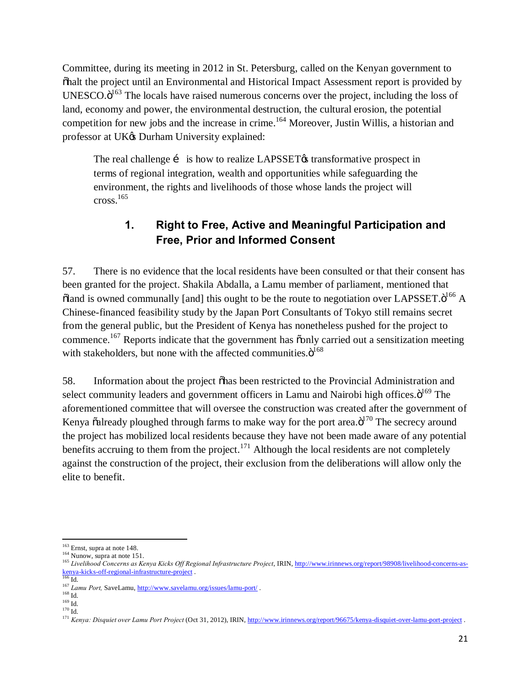Committee, during its meeting in 2012 in St. Petersburg, called on the Kenyan government to "halt the project until an Environmental and Historical Impact Assessment report is provided by UNESCO. $\ddot{o}^{163}$  The locals have raised numerous concerns over the project, including the loss of land, economy and power, the environmental destruction, the cultural erosion, the potential competition for new jobs and the increase in crime.<sup>164</sup> Moreover, Justin Willis, a historian and professor at UK $\&$  Durham University explained:

The real challenge  $\mathbf{i}$  is how to realize LAPSSET $\boldsymbol{\alpha}$  transformative prospect in terms of regional integration, wealth and opportunities while safeguarding the environment, the rights and livelihoods of those whose lands the project will  $\csc^{165}$ 

### **1. Right to Free, Active and Meaningful Participation and Free, Prior and Informed Consent**

57. There is no evidence that the local residents have been consulted or that their consent has been granted for the project. Shakila Abdalla, a Lamu member of parliament, mentioned that  $\delta$ land is owned communally [and] this ought to be the route to negotiation over LAPSSET. $\ddot{o}^{166}$  A Chinese-financed feasibility study by the Japan Port Consultants of Tokyo still remains secret from the general public, but the President of Kenya has nonetheless pushed for the project to commence.<sup>167</sup> Reports indicate that the government has õonly carried out a sensitization meeting with stakeholders, but none with the affected communities. $\ddot{o}^{168}$ 

58. Information about the project õhas been restricted to the Provincial Administration and select community leaders and government officers in Lamu and Nairobi high offices. $\ddot{o}^{169}$  The aforementioned committee that will oversee the construction was created after the government of Kenya  $\tilde{\alpha}$ already ploughed through farms to make way for the port area. $\ddot{\text{o}}^{170}$  The secrecy around the project has mobilized local residents because they have not been made aware of any potential benefits accruing to them from the project.<sup>171</sup> Although the local residents are not completely against the construction of the project, their exclusion from the deliberations will allow only the elite to benefit.

<sup>&</sup>lt;sup>163</sup> Ernst, supra at note 148.<br><sup>164</sup> Nunow, supra at note 151.<br><sup>165</sup> *Livelihood Concerns as Kenya Kicks Off Regional Infrastructure Project*, IRIN, <u>http://www.irinnews.org/report/98908/livelihood-concerns-as-<br>kenya-kick</u>

<sup>167</sup> Lamu Port, SaveLamu, http://www.savelamu.org/issues/lamu-port/<br>
<sup>168</sup> Id.<br>
<sup>169</sup> Id.<br>
<sup>170</sup> Id.<br>
<sup>170</sup> Id.<br>
<sup>171</sup> Kenya: Disquiet over Lamu Port Project (Oct 31, 2012), IRIN, <u>http://www.irinnews.org/report/96675/kenya</u>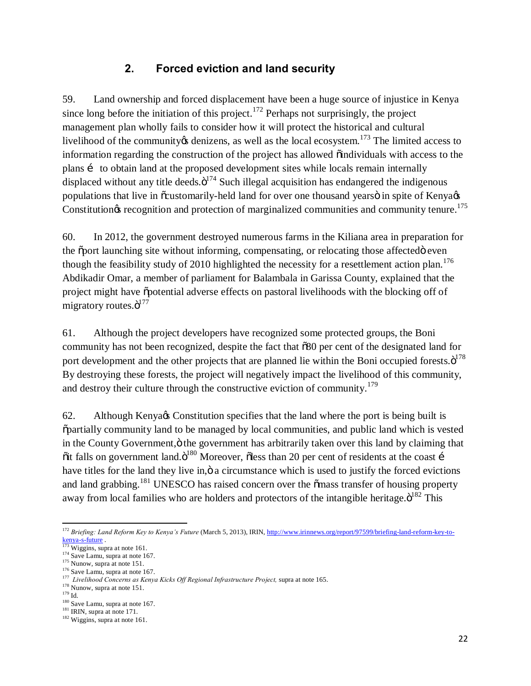#### **2. Forced eviction and land security**

59. Land ownership and forced displacement have been a huge source of injustice in Kenya since long before the initiation of this project.<sup>172</sup> Perhaps not surprisingly, the project management plan wholly fails to consider how it will protect the historical and cultural livelihood of the community *i*s denizens, as well as the local ecosystem.<sup>173</sup> The limited access to information regarding the construction of the project has allowed oindividuals with access to the plans i to obtain land at the proposed development sites while locals remain internally displaced without any title deeds. $\ddot{\mathrm{o}}^{174}$  Such illegal acquisition has endangered the indigenous populations that live in  $\tilde{\text{c}}$  customarily-held land for over one thousand years  $\ddot{\text{o}}$  in spite of Kenya Constitution $\otimes$  recognition and protection of marginalized communities and community tenure.<sup>175</sup>

60. In 2012, the government destroyed numerous farms in the Kiliana area in preparation for the  $\tilde{\text{op}}$  bootherming site without informing, compensating, or relocating those affected even though the feasibility study of 2010 highlighted the necessity for a resettlement action plan.<sup>176</sup> Abdikadir Omar, a member of parliament for Balambala in Garissa County, explained that the project might have  $\ddot{\text{o}}$  potential adverse effects on pastoral livelihoods with the blocking off of migratory routes. $\ddot{\mathrm{o}}^{177}$ 

61. Although the project developers have recognized some protected groups, the Boni community has not been recognized, despite the fact that  $\delta 80$  per cent of the designated land for port development and the other projects that are planned lie within the Boni occupied forests. $\ddot{\text{o}}^{178}$ By destroying these forests, the project will negatively impact the livelihood of this community, and destroy their culture through the constructive eviction of community.<sup>179</sup>

62. Although Kenya's Constitution specifies that the land where the port is being built is "partially community land to be managed by local communities, and public land which is vested in the County Government,  $\ddot{o}$  the government has arbitrarily taken over this land by claiming that  $\ddot{\text{o}}$  it falls on government land. $\ddot{\text{o}}^{180}$  Moreover,  $\ddot{\text{o}}$ less than 20 per cent of residents at the coast í have titles for the land they live in,  $\ddot{o}$  a circumstance which is used to justify the forced evictions and land grabbing.<sup>181</sup> UNESCO has raised concern over the  $\tilde{\text{om}}$  as transfer of housing property away from local families who are holders and protectors of the intangible heritage. $\ddot{\mathrm{o}}^{182}$  This

<sup>&</sup>lt;sup>172</sup> *Briefing: Land Reform Key to Kenya's Future* (March 5, 2013), IRIN, http://www.irinnews.org/report/97599/briefing-land-reform-key-to-<br>
<sup>173</sup> Wiggins, supra at note 161.

<sup>&</sup>lt;sup>174</sup> Save Lamu, supra at note 167.<br>
<sup>175</sup> Suuco, supra at note 151.<br>
<sup>176</sup> Save Lamu, supra at note 167.<br>
<sup>176</sup> Save Lamu, supra at note 167.<br>
<sup>177</sup> *Livelihood Concerns as Kenya Kicks Off Regional Infrastructure Project*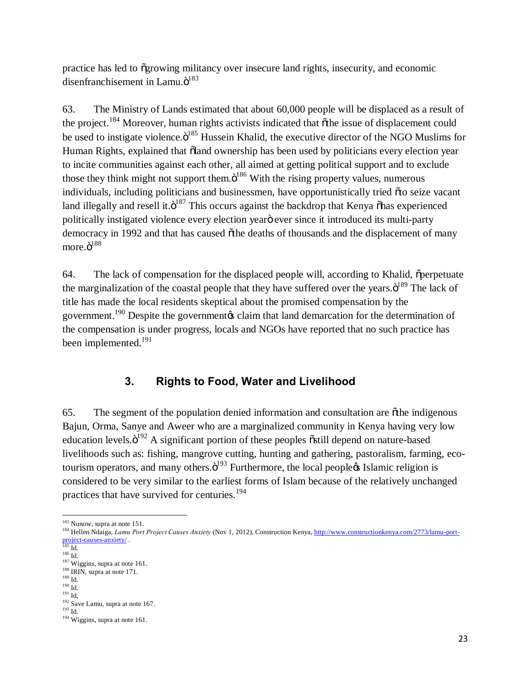practice has led to "growing militancy over insecure land rights, insecurity, and economic disenfranchisement in Lamu. $\ddot{o}^{183}$ 

63. The Ministry of Lands estimated that about 60,000 people will be displaced as a result of the project.<sup>184</sup> Moreover, human rights activists indicated that  $\tilde{o}$ the issue of displacement could be used to instigate violence. $\ddot{\text{o}}^{185}$  Hussein Khalid, the executive director of the NGO Muslims for Human Rights, explained that  $\ddot{o}$ land ownership has been used by politicians every election year to incite communities against each other, all aimed at getting political support and to exclude those they think might not support them. $\ddot{o}^{186}$  With the rising property values, numerous individuals, including politicians and businessmen, have opportunistically tried  $\tilde{\alpha}$  to seize vacant land illegally and resell it. $\ddot{\mathrm{o}}^{187}$  This occurs against the backdrop that Kenya  $\ddot{\mathrm{o}}$ has experienced politically instigated violence every election year' ever since it introduced its multi-party democracy in 1992 and that has caused  $\ddot{\text{o}}$  the deaths of thousands and the displacement of many more. $\ddot{\text{o}}^{188}$ 

64. The lack of compensation for the displaced people will, according to Khalid,  $\ddot{\text{o}}$  perpetuate the marginalization of the coastal people that they have suffered over the years. $\ddot{o}^{189}$  The lack of title has made the local residents skeptical about the promised compensation by the government.<sup>190</sup> Despite the government calaim that land demarcation for the determination of the compensation is under progress, locals and NGOs have reported that no such practice has been implemented.<sup>191</sup>

### **3. Rights to Food, Water and Livelihood**

65. The segment of the population denied information and consultation are "the indigenous Bajun, Orma, Sanye and Aweer who are a marginalized community in Kenya having very low education levels. $\ddot{o}^{192}$  A significant portion of these peoples  $\ddot{o}$ still depend on nature-based livelihoods such as: fishing, mangrove cutting, hunting and gathering, pastoralism, farming, ecotourism operators, and many others. $\ddot{o}^{193}$  Furthermore, the local people $\alpha$  Islamic religion is considered to be very similar to the earliest forms of Islam because of the relatively unchanged practices that have survived for centuries.<sup>194</sup>

<sup>&</sup>lt;sup>183</sup> Nunow, supra at note 151.<br><sup>184</sup> Hellen Ndaiga, *Lamu Port Project Causes Anxiety* (Nov 1, 2012), Construction Kenya, http://www.constructionkenya.com/2773/lamu-portproject-causes-anxiety/<br><sup>185</sup> Id.

<sup>&</sup>lt;sup>185</sup> Id.<br><sup>187</sup> Wiggins, supra at note 161.<br><sup>188</sup> IRIN, supra at note 171.<br><sup>190</sup> Id.<br><sup>191</sup> Id, <sup>192</sup> Save Lamu, supra at note 167.<br><sup>193</sup> Id. <sup>194</sup> Wiggins, supra at note 161.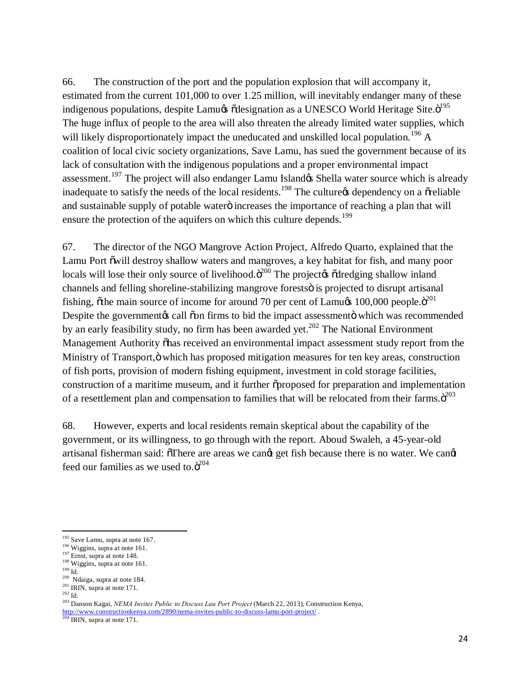66. The construction of the port and the population explosion that will accompany it, estimated from the current 101,000 to over 1.25 million, will inevitably endanger many of these indigenous populations, despite Lamu¢ õdesignation as a UNESCO World Heritage Site.ö<sup>195</sup> The huge influx of people to the area will also threaten the already limited water supplies, which will likely disproportionately impact the uneducated and unskilled local population.<sup>196</sup> A coalition of local civic society organizations, Save Lamu, has sued the government because of its lack of consultation with the indigenous populations and a proper environmental impact assessment.<sup>197</sup> The project will also endanger Lamu Island& Shella water source which is already inadequate to satisfy the needs of the local residents.<sup>198</sup> The culture  $\alpha$  dependency on a  $\tilde{\alpha}$  reliable and sustainable supply of potable water o increases the importance of reaching a plan that will ensure the protection of the aquifers on which this culture depends.<sup>199</sup>

67. The director of the NGO Mangrove Action Project, Alfredo Quarto, explained that the Lamu Port õwill destroy shallow waters and mangroves, a key habitat for fish, and many poor locals will lose their only source of livelihood. $\ddot{\sigma}^{200}$  The project is  $\ddot{\sigma}$  dredging shallow inland channels and felling shoreline-stabilizing mangrove forests is projected to disrupt artisanal fishing,  $\delta$ the main source of income for around 70 per cent of Lamu $\alpha$  100,000 people. $\ddot{\sigma}^{201}$ Despite the government a call  $\tilde{\text{on}}$  firms to bid the impact assessment  $\ddot{\text{on}}$  which was recommended by an early feasibility study, no firm has been awarded yet.<sup>202</sup> The National Environment Management Authority on as received an environmental impact assessment study report from the Ministry of Transport, ö which has proposed mitigation measures for ten key areas, construction of fish ports, provision of modern fishing equipment, investment in cold storage facilities, construction of a maritime museum, and it further  $\tilde{\text{op}}$  proposed for preparation and implementation of a resettlement plan and compensation to families that will be relocated from their farms. $\ddot{o}^{203}$ 

68. However, experts and local residents remain skeptical about the capability of the government, or its willingness, to go through with the report. Aboud Swaleh, a 45-year-old artisanal fisherman said:  $\sigma$ There are areas we cand get fish because there is no water. We cand feed our families as we used to. $\ddot{o}^{204}$ 

http://www.constructionkenya.com/2890/nema-invites-public-to-discuss-lamu-port-project/ .<br><sup>204</sup> IRIN, supra at note 171.

<sup>&</sup>lt;sup>195</sup> Save Lamu, supra at note 167.<br><sup>196</sup> Wiggins, supra at note 161.<br><sup>197</sup> Ernst, supra at note 148.<br><sup>198</sup> Wiggins, supra at note 161.<br><sup>198</sup> Miggins, supra at note 161.<br><sup>209</sup> Id.<br><sup>200</sup> Ndaiga, supra at note 171.<br><sup>202</sup> Id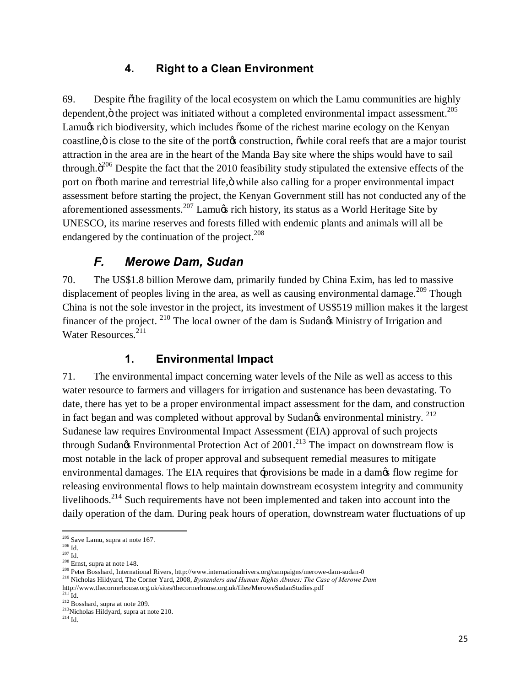#### **4. Right to a Clean Environment**

69. Despite othe fragility of the local ecosystem on which the Lamu communities are highly dependent, $\ddot{\text{o}}$  the project was initiated without a completed environmental impact assessment.<sup>205</sup> Lamugs rich biodiversity, which includes  $\tilde{\sigma}$ some of the richest marine ecology on the Kenyan coastline,  $\ddot{o}$  is close to the site of the portor construction,  $\ddot{o}$  while coral reefs that are a major tourist attraction in the area are in the heart of the Manda Bay site where the ships would have to sail through. $\ddot{o}^{206}$  Despite the fact that the 2010 feasibility study stipulated the extensive effects of the port on  $\delta$ both marine and terrestrial life,  $\ddot{o}$  while also calling for a proper environmental impact assessment before starting the project, the Kenyan Government still has not conducted any of the aforementioned assessments.<sup>207</sup> Lamu $\alpha$  rich history, its status as a World Heritage Site by UNESCO, its marine reserves and forests filled with endemic plants and animals will all be endangered by the continuation of the project.<sup>208</sup>

### *F. Merowe Dam, Sudan*

70. The US\$1.8 billion Merowe dam, primarily funded by China Exim, has led to massive displacement of peoples living in the area, as well as causing environmental damage.<sup>209</sup> Though China is not the sole investor in the project, its investment of US\$519 million makes it the largest financer of the project. <sup>210</sup> The local owner of the dam is Sudan $\alpha$  Ministry of Irrigation and Water Resources.<sup>211</sup>

### **1. Environmental Impact**

71. The environmental impact concerning water levels of the Nile as well as access to this water resource to farmers and villagers for irrigation and sustenance has been devastating. To date, there has yet to be a proper environmental impact assessment for the dam, and construction in fact began and was completed without approval by Sudan $\alpha$  environmental ministry. <sup>212</sup> Sudanese law requires Environmental Impact Assessment (EIA) approval of such projects through Sudan $\alpha$  Environmental Protection Act of 2001.<sup>213</sup> The impact on downstream flow is most notable in the lack of proper approval and subsequent remedial measures to mitigate environmental damages. The EIA requires that -provisions be made in a damos flow regime for releasing environmental flows to help maintain downstream ecosystem integrity and community livelihoods.<sup>214</sup> Such requirements have not been implemented and taken into account into the daily operation of the dam. During peak hours of operation, downstream water fluctuations of up

<sup>&</sup>lt;sup>205</sup> Save Lamu, supra at note 167.<br><sup>206</sup> Id.<br><sup>207</sup> Id.<br><sup>208</sup> Ernst, supra at note 148.<br><sup>209</sup> Peter Bosshard, International Rivers, http://www.internationalrivers.org/campaigns/merowe-dam-sudan-0<br><sup>210</sup> Nicholas Hildyard,

http://www.thecornerhouse.org.uk/sites/thecornerhouse.org.uk/files/MeroweSudanStudies.pdf

 $\frac{212}{213}$  Bosshard, supra at note 209.<br><sup>213</sup>Nicholas Hildyard, supra at note 210.

 $^{214}$  Id.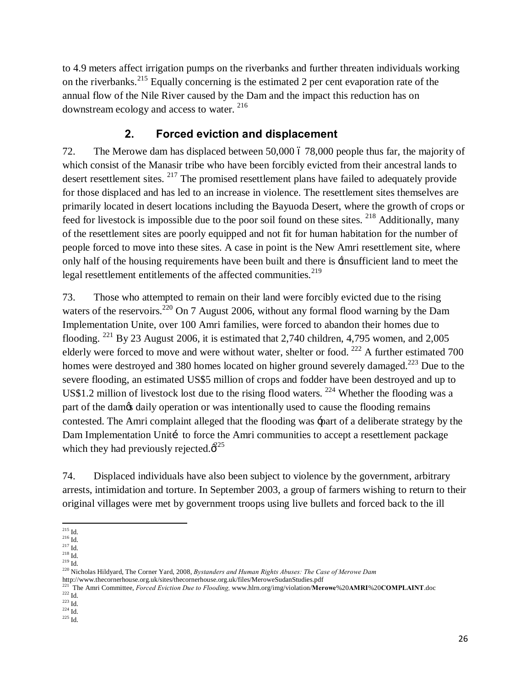to 4.9 meters affect irrigation pumps on the riverbanks and further threaten individuals working on the riverbanks.<sup>215</sup> Equally concerning is the estimated 2 per cent evaporation rate of the annual flow of the Nile River caused by the Dam and the impact this reduction has on downstream ecology and access to water. 216

#### **2. Forced eviction and displacement**

72. The Merowe dam has displaced between 50,000 ó 78,000 people thus far, the majority of which consist of the Manasir tribe who have been forcibly evicted from their ancestral lands to desert resettlement sites. <sup>217</sup> The promised resettlement plans have failed to adequately provide for those displaced and has led to an increase in violence. The resettlement sites themselves are primarily located in desert locations including the Bayuoda Desert, where the growth of crops or feed for livestock is impossible due to the poor soil found on these sites.  $^{218}$  Additionally, many of the resettlement sites are poorly equipped and not fit for human habitation for the number of people forced to move into these sites. A case in point is the New Amri resettlement site, where only half of the housing requirements have been built and there is 'insufficient land to meet the legal resettlement entitlements of the affected communities.<sup>219</sup>

73. Those who attempted to remain on their land were forcibly evicted due to the rising waters of the reservoirs.<sup>220</sup> On 7 August 2006, without any formal flood warning by the Dam Implementation Unite, over 100 Amri families, were forced to abandon their homes due to flooding. <sup>221</sup> By 23 August 2006, it is estimated that 2,740 children, 4,795 women, and 2,005 elderly were forced to move and were without water, shelter or food.  $^{222}$  A further estimated 700 homes were destroyed and 380 homes located on higher ground severely damaged.<sup>223</sup> Due to the severe flooding, an estimated US\$5 million of crops and fodder have been destroyed and up to US\$1.2 million of livestock lost due to the rising flood waters.  $^{224}$  Whether the flooding was a part of the dam $\alpha$  daily operation or was intentionally used to cause the flooding remains contested. The Amri complaint alleged that the flooding was 'part of a deliberate strategy by the Dam Implementation Uniti to force the Amri communities to accept a resettlement package which they had previously rejected. $\hat{\phi}^{25}$ 

74. Displaced individuals have also been subject to violence by the government, arbitrary arrests, intimidation and torture. In September 2003, a group of farmers wishing to return to their original villages were met by government troops using live bullets and forced back to the ill

 $\frac{215}{216}$  Id.

<sup>&</sup>lt;sup>217</sup> Id.<br><sup>218</sup> Id.<br><sup>219</sup> Id.

<sup>220</sup> Nicholas Hildyard, The Corner Yard, 2008, *Bystanders and Human Rights Abuses: The Case of Merowe Dam*  http://www.thecornerhouse.org.uk/sites/thecornerhouse.org.uk/files/MeroweSudanStudies.pdf

<sup>221</sup> The Amri Committee, *Forced Eviction Due to Flooding,* www.hlrn.org/img/violation/**Merowe**%20**AMRI**%20**COMPLAINT**.doc

 $\frac{223}{224}$  Id.<br> $\frac{224}{10}$ 

 $^{225}$  Id.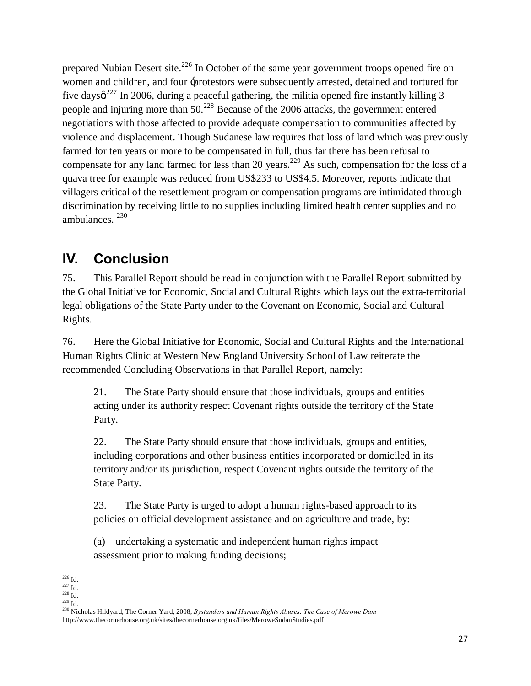prepared Nubian Desert site.<sup>226</sup> In October of the same year government troops opened fire on women and children, and four 'protestors were subsequently arrested, detained and tortured for five days $\alpha^{227}$  In 2006, during a peaceful gathering, the militia opened fire instantly killing 3 people and injuring more than 50.228 Because of the 2006 attacks, the government entered negotiations with those affected to provide adequate compensation to communities affected by violence and displacement. Though Sudanese law requires that loss of land which was previously farmed for ten years or more to be compensated in full, thus far there has been refusal to compensate for any land farmed for less than 20 years.<sup>229</sup> As such, compensation for the loss of a quava tree for example was reduced from US\$233 to US\$4.5. Moreover, reports indicate that villagers critical of the resettlement program or compensation programs are intimidated through discrimination by receiving little to no supplies including limited health center supplies and no ambulances. <sup>230</sup>

# **IV. Conclusion**

75. This Parallel Report should be read in conjunction with the Parallel Report submitted by the Global Initiative for Economic, Social and Cultural Rights which lays out the extra-territorial legal obligations of the State Party under to the Covenant on Economic, Social and Cultural Rights.

76. Here the Global Initiative for Economic, Social and Cultural Rights and the International Human Rights Clinic at Western New England University School of Law reiterate the recommended Concluding Observations in that Parallel Report, namely:

21. The State Party should ensure that those individuals, groups and entities acting under its authority respect Covenant rights outside the territory of the State Party.

22. The State Party should ensure that those individuals, groups and entities, including corporations and other business entities incorporated or domiciled in its territory and/or its jurisdiction, respect Covenant rights outside the territory of the State Party.

23. The State Party is urged to adopt a human rights-based approach to its policies on official development assistance and on agriculture and trade, by:

(a) undertaking a systematic and independent human rights impact assessment prior to making funding decisions;

 $\begin{array}{c} 226 \text{ Id.} \\ 227 \text{ Id.} \\ 228 \text{ Id.} \end{array}$ 

<sup>&</sup>lt;sup>228</sup> Id.<br><sup>229</sup> Id.<br><sup>230</sup> Nicholas Hildyard, The Corner Yard, 2008, *Bystanders and Human Rights Abuses: The Case of Merowe Dam* http://www.thecornerhouse.org.uk/sites/thecornerhouse.org.uk/files/MeroweSudanStudies.pdf